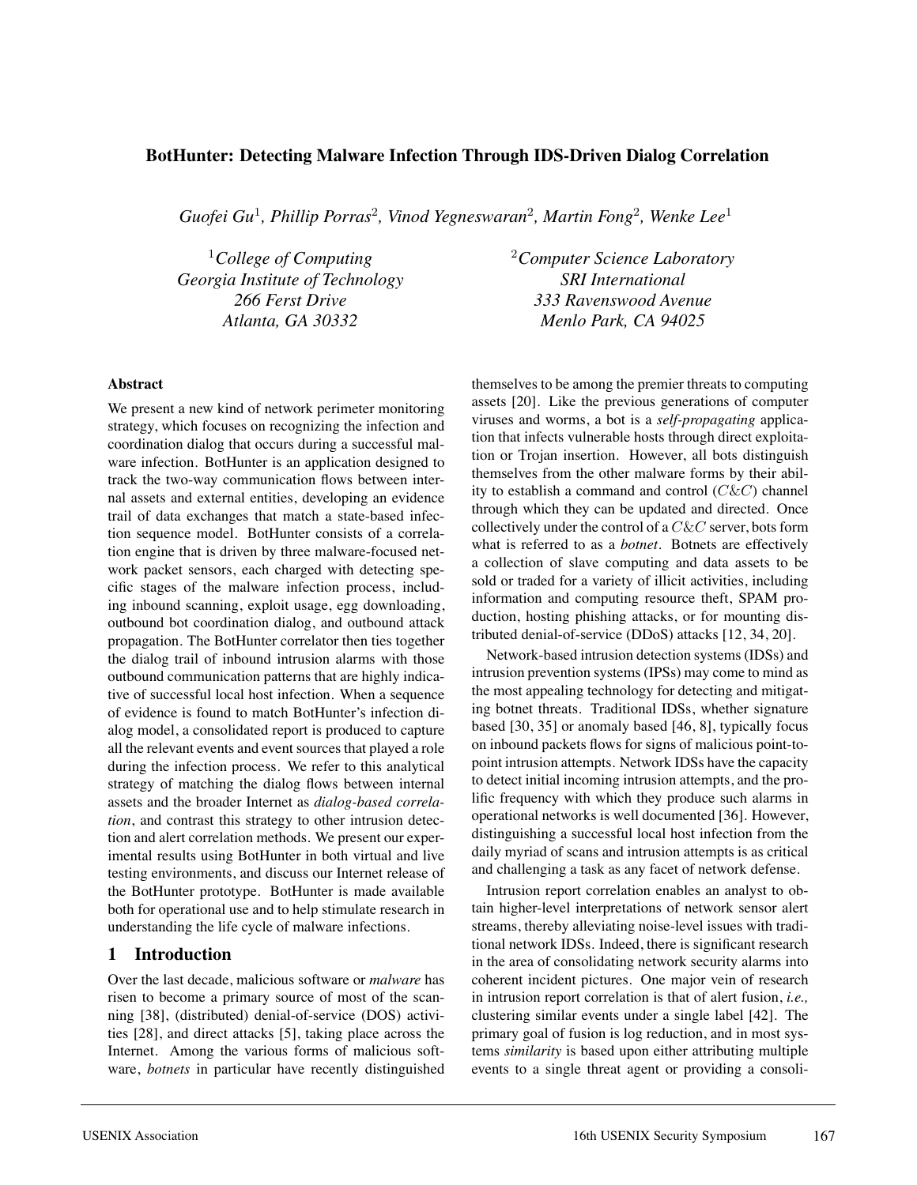# **BotHunter: Detecting Malware Infection Through IDS-Driven Dialog Correlation**

*Guofei Gu*<sup>1</sup>*, Phillip Porras*<sup>2</sup>*, Vinod Yegneswaran*<sup>2</sup>*, Martin Fong*<sup>2</sup>*, Wenke Lee*<sup>1</sup>

*Georgia Institute of Technology SRI International*

<sup>1</sup>College of Computing <sup>2</sup>Computer Science Laboratory *266 Ferst Drive 333 Ravenswood Avenue Atlanta, GA 30332 Menlo Park, CA 94025*

#### **Abstract**

We present a new kind of network perimeter monitoring strategy, which focuses on recognizing the infection and coordination dialog that occurs during a successful malware infection. BotHunter is an application designed to track the two-way communication flows between internal assets and external entities, developing an evidence trail of data exchanges that match a state-based infection sequence model. BotHunter consists of a correlation engine that is driven by three malware-focused network packet sensors, each charged with detecting specific stages of the malware infection process, including inbound scanning, exploit usage, egg downloading, outbound bot coordination dialog, and outbound attack propagation. The BotHunter correlator then ties together the dialog trail of inbound intrusion alarms with those outbound communication patterns that are highly indicative of successful local host infection. When a sequence of evidence is found to match BotHunter's infection dialog model, a consolidated report is produced to capture all the relevant events and event sources that played a role during the infection process. We refer to this analytical strategy of matching the dialog flows between internal assets and the broader Internet as *dialog-based correlation*, and contrast this strategy to other intrusion detection and alert correlation methods. We present our experimental results using BotHunter in both virtual and live testing environments, and discuss our Internet release of the BotHunter prototype. BotHunter is made available both for operational use and to help stimulate research in understanding the life cycle of malware infections.

# **1 Introduction**

Over the last decade, malicious software or *malware* has risen to become a primary source of most of the scanning [38], (distributed) denial-of-service (DOS) activities [28], and direct attacks [5], taking place across the Internet. Among the various forms of malicious software, *botnets* in particular have recently distinguished themselves to be among the premier threats to computing assets [20]. Like the previous generations of computer viruses and worms, a bot is a *self-propagating* application that infects vulnerable hosts through direct exploitation or Trojan insertion. However, all bots distinguish themselves from the other malware forms by their ability to establish a command and control  $(C\&C)$  channel through which they can be updated and directed. Once collectively under the control of a C&C server, bots form what is referred to as a *botnet*. Botnets are effectively a collection of slave computing and data assets to be sold or traded for a variety of illicit activities, including information and computing resource theft, SPAM production, hosting phishing attacks, or for mounting distributed denial-of-service (DDoS) attacks [12, 34, 20].

Network-based intrusion detection systems (IDSs) and intrusion prevention systems (IPSs) may come to mind as the most appealing technology for detecting and mitigating botnet threats. Traditional IDSs, whether signature based [30, 35] or anomaly based [46, 8], typically focus on inbound packets flows for signs of malicious point-topoint intrusion attempts. Network IDSs have the capacity to detect initial incoming intrusion attempts, and the prolific frequency with which they produce such alarms in operational networks is well documented [36]. However, distinguishing a successful local host infection from the daily myriad of scans and intrusion attempts is as critical and challenging a task as any facet of network defense.

Intrusion report correlation enables an analyst to obtain higher-level interpretations of network sensor alert streams, thereby alleviating noise-level issues with traditional network IDSs. Indeed, there is significant research in the area of consolidating network security alarms into coherent incident pictures. One major vein of research in intrusion report correlation is that of alert fusion, *i.e.,* clustering similar events under a single label [42]. The primary goal of fusion is log reduction, and in most systems *similarity* is based upon either attributing multiple events to a single threat agent or providing a consoli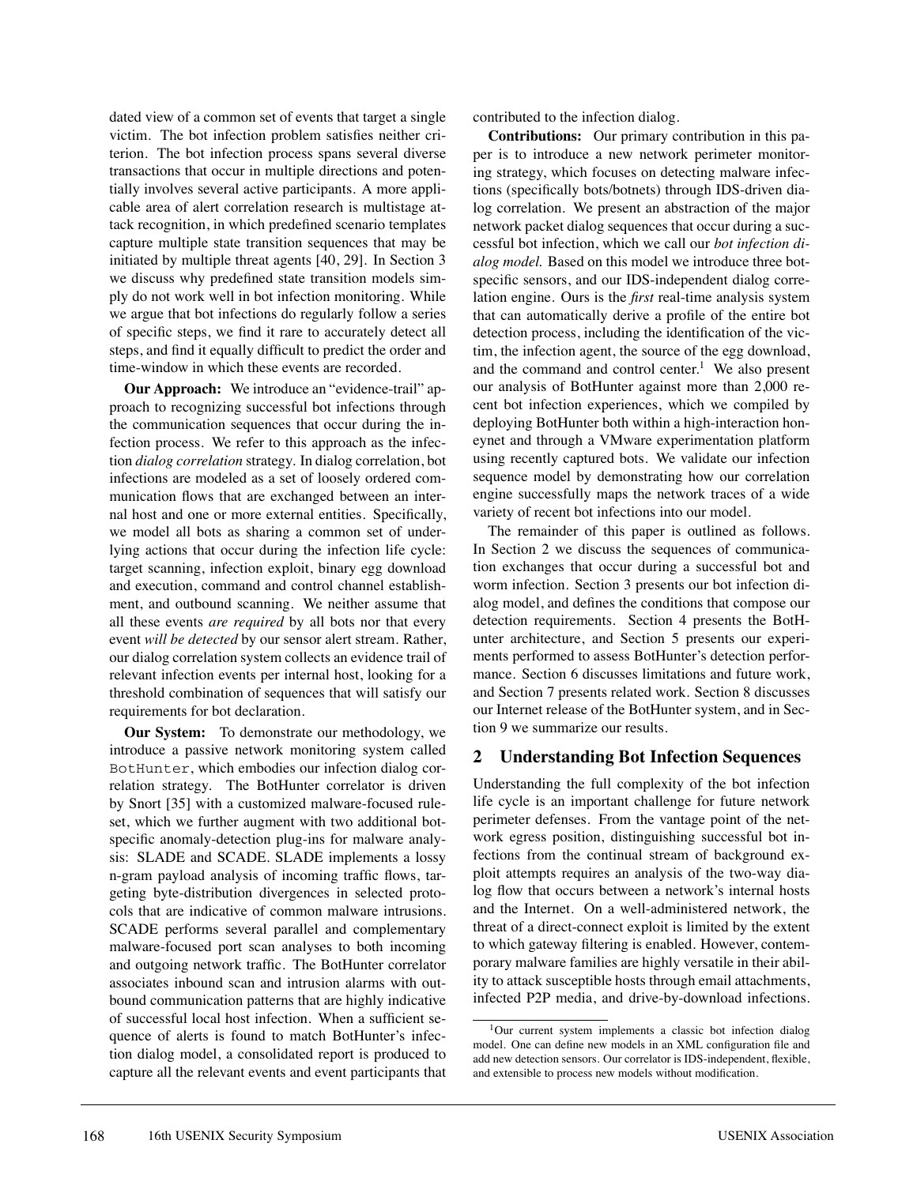dated view of a common set of events that target a single victim. The bot infection problem satisfies neither criterion. The bot infection process spans several diverse transactions that occur in multiple directions and potentially involves several active participants. A more applicable area of alert correlation research is multistage attack recognition, in which predefined scenario templates capture multiple state transition sequences that may be initiated by multiple threat agents [40, 29]. In Section 3 we discuss why predefined state transition models simply do not work well in bot infection monitoring. While we argue that bot infections do regularly follow a series of specific steps, we find it rare to accurately detect all steps, and find it equally difficult to predict the order and time-window in which these events are recorded.

**Our Approach:** We introduce an "evidence-trail" approach to recognizing successful bot infections through the communication sequences that occur during the infection process. We refer to this approach as the infection *dialog correlation* strategy. In dialog correlation, bot infections are modeled as a set of loosely ordered communication flows that are exchanged between an internal host and one or more external entities. Specifically, we model all bots as sharing a common set of underlying actions that occur during the infection life cycle: target scanning, infection exploit, binary egg download and execution, command and control channel establishment, and outbound scanning. We neither assume that all these events *are required* by all bots nor that every event *will be detected* by our sensor alert stream. Rather, our dialog correlation system collects an evidence trail of relevant infection events per internal host, looking for a threshold combination of sequences that will satisfy our requirements for bot declaration.

**Our System:** To demonstrate our methodology, we introduce a passive network monitoring system called BotHunter, which embodies our infection dialog correlation strategy. The BotHunter correlator is driven by Snort [35] with a customized malware-focused ruleset, which we further augment with two additional botspecific anomaly-detection plug-ins for malware analysis: SLADE and SCADE. SLADE implements a lossy n-gram payload analysis of incoming traffic flows, targeting byte-distribution divergences in selected protocols that are indicative of common malware intrusions. SCADE performs several parallel and complementary malware-focused port scan analyses to both incoming and outgoing network traffic. The BotHunter correlator associates inbound scan and intrusion alarms with outbound communication patterns that are highly indicative of successful local host infection. When a sufficient sequence of alerts is found to match BotHunter's infection dialog model, a consolidated report is produced to capture all the relevant events and event participants that

contributed to the infection dialog.

**Contributions:** Our primary contribution in this paper is to introduce a new network perimeter monitoring strategy, which focuses on detecting malware infections (specifically bots/botnets) through IDS-driven dialog correlation. We present an abstraction of the major network packet dialog sequences that occur during a successful bot infection, which we call our *bot infection dialog model.* Based on this model we introduce three botspecific sensors, and our IDS-independent dialog correlation engine. Ours is the *first* real-time analysis system that can automatically derive a profile of the entire bot detection process, including the identification of the victim, the infection agent, the source of the egg download, and the command and control center.<sup>1</sup> We also present our analysis of BotHunter against more than 2,000 recent bot infection experiences, which we compiled by deploying BotHunter both within a high-interaction honeynet and through a VMware experimentation platform using recently captured bots. We validate our infection sequence model by demonstrating how our correlation engine successfully maps the network traces of a wide variety of recent bot infections into our model.

The remainder of this paper is outlined as follows. In Section 2 we discuss the sequences of communication exchanges that occur during a successful bot and worm infection. Section 3 presents our bot infection dialog model, and defines the conditions that compose our detection requirements. Section 4 presents the BotHunter architecture, and Section 5 presents our experiments performed to assess BotHunter's detection performance. Section 6 discusses limitations and future work, and Section 7 presents related work. Section 8 discusses our Internet release of the BotHunter system, and in Section 9 we summarize our results.

### **2 Understanding Bot Infection Sequences**

Understanding the full complexity of the bot infection life cycle is an important challenge for future network perimeter defenses. From the vantage point of the network egress position, distinguishing successful bot infections from the continual stream of background exploit attempts requires an analysis of the two-way dialog flow that occurs between a network's internal hosts and the Internet. On a well-administered network, the threat of a direct-connect exploit is limited by the extent to which gateway filtering is enabled. However, contemporary malware families are highly versatile in their ability to attack susceptible hosts through email attachments, infected P2P media, and drive-by-download infections.

<sup>&</sup>lt;sup>1</sup>Our current system implements a classic bot infection dialog model. One can define new models in an XML configuration file and add new detection sensors. Our correlator is IDS-independent, flexible, and extensible to process new models without modification.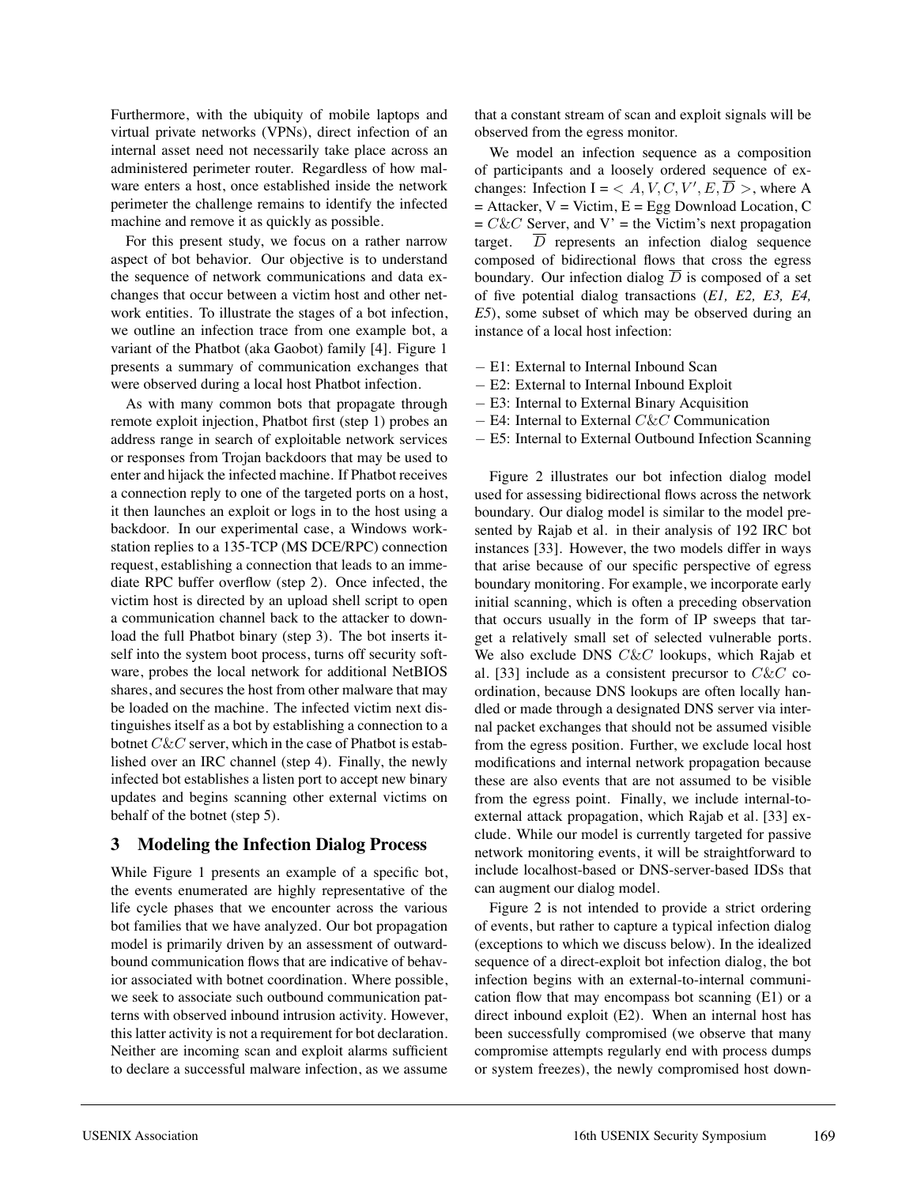Furthermore, with the ubiquity of mobile laptops and virtual private networks (VPNs), direct infection of an internal asset need not necessarily take place across an administered perimeter router. Regardless of how malware enters a host, once established inside the network perimeter the challenge remains to identify the infected machine and remove it as quickly as possible.

For this present study, we focus on a rather narrow aspect of bot behavior. Our objective is to understand the sequence of network communications and data exchanges that occur between a victim host and other network entities. To illustrate the stages of a bot infection, we outline an infection trace from one example bot, a variant of the Phatbot (aka Gaobot) family [4]. Figure 1 presents a summary of communication exchanges that were observed during a local host Phatbot infection.

As with many common bots that propagate through remote exploit injection, Phatbot first (step 1) probes an address range in search of exploitable network services or responses from Trojan backdoors that may be used to enter and hijack the infected machine. If Phatbot receives a connection reply to one of the targeted ports on a host, it then launches an exploit or logs in to the host using a backdoor. In our experimental case, a Windows workstation replies to a 135-TCP (MS DCE/RPC) connection request, establishing a connection that leads to an immediate RPC buffer overflow (step 2). Once infected, the victim host is directed by an upload shell script to open a communication channel back to the attacker to download the full Phatbot binary (step 3). The bot inserts itself into the system boot process, turns off security software, probes the local network for additional NetBIOS shares, and secures the host from other malware that may be loaded on the machine. The infected victim next distinguishes itself as a bot by establishing a connection to a botnet C&C server, which in the case of Phatbot is established over an IRC channel (step 4). Finally, the newly infected bot establishes a listen port to accept new binary updates and begins scanning other external victims on behalf of the botnet (step 5).

# **3 Modeling the Infection Dialog Process**

While Figure 1 presents an example of a specific bot, the events enumerated are highly representative of the life cycle phases that we encounter across the various bot families that we have analyzed. Our bot propagation model is primarily driven by an assessment of outwardbound communication flows that are indicative of behavior associated with botnet coordination. Where possible, we seek to associate such outbound communication patterns with observed inbound intrusion activity. However, this latter activity is not a requirement for bot declaration. Neither are incoming scan and exploit alarms sufficient to declare a successful malware infection, as we assume

that a constant stream of scan and exploit signals will be observed from the egress monitor.

We model an infection sequence as a composition of participants and a loosely ordered sequence of exchanges: Infection I =  $\langle A, V, C, V', E, \overline{D} \rangle$ , where A  $=$  Attacker,  $V =$  Victim,  $E =$  Egg Download Location, C  $= C\&C$  Server, and V' = the Victim's next propagation target.  $\overline{D}$  represents an infection dialog sequence composed of bidirectional flows that cross the egress boundary. Our infection dialog  $\overline{D}$  is composed of a set of five potential dialog transactions (*E1, E2, E3, E4, E5*), some subset of which may be observed during an instance of a local host infection:

- − E1: External to Internal Inbound Scan
- − E2: External to Internal Inbound Exploit
- − E3: Internal to External Binary Acquisition
- − E4: Internal to External C&C Communication
- − E5: Internal to External Outbound Infection Scanning

Figure 2 illustrates our bot infection dialog model used for assessing bidirectional flows across the network boundary. Our dialog model is similar to the model presented by Rajab et al. in their analysis of 192 IRC bot instances [33]. However, the two models differ in ways that arise because of our specific perspective of egress boundary monitoring. For example, we incorporate early initial scanning, which is often a preceding observation that occurs usually in the form of IP sweeps that target a relatively small set of selected vulnerable ports. We also exclude DNS C&C lookups, which Rajab et al. [33] include as a consistent precursor to  $C\&C$  coordination, because DNS lookups are often locally handled or made through a designated DNS server via internal packet exchanges that should not be assumed visible from the egress position. Further, we exclude local host modifications and internal network propagation because these are also events that are not assumed to be visible from the egress point. Finally, we include internal-toexternal attack propagation, which Rajab et al. [33] exclude. While our model is currently targeted for passive network monitoring events, it will be straightforward to include localhost-based or DNS-server-based IDSs that can augment our dialog model.

Figure 2 is not intended to provide a strict ordering of events, but rather to capture a typical infection dialog (exceptions to which we discuss below). In the idealized sequence of a direct-exploit bot infection dialog, the bot infection begins with an external-to-internal communication flow that may encompass bot scanning (E1) or a direct inbound exploit (E2). When an internal host has been successfully compromised (we observe that many compromise attempts regularly end with process dumps or system freezes), the newly compromised host down-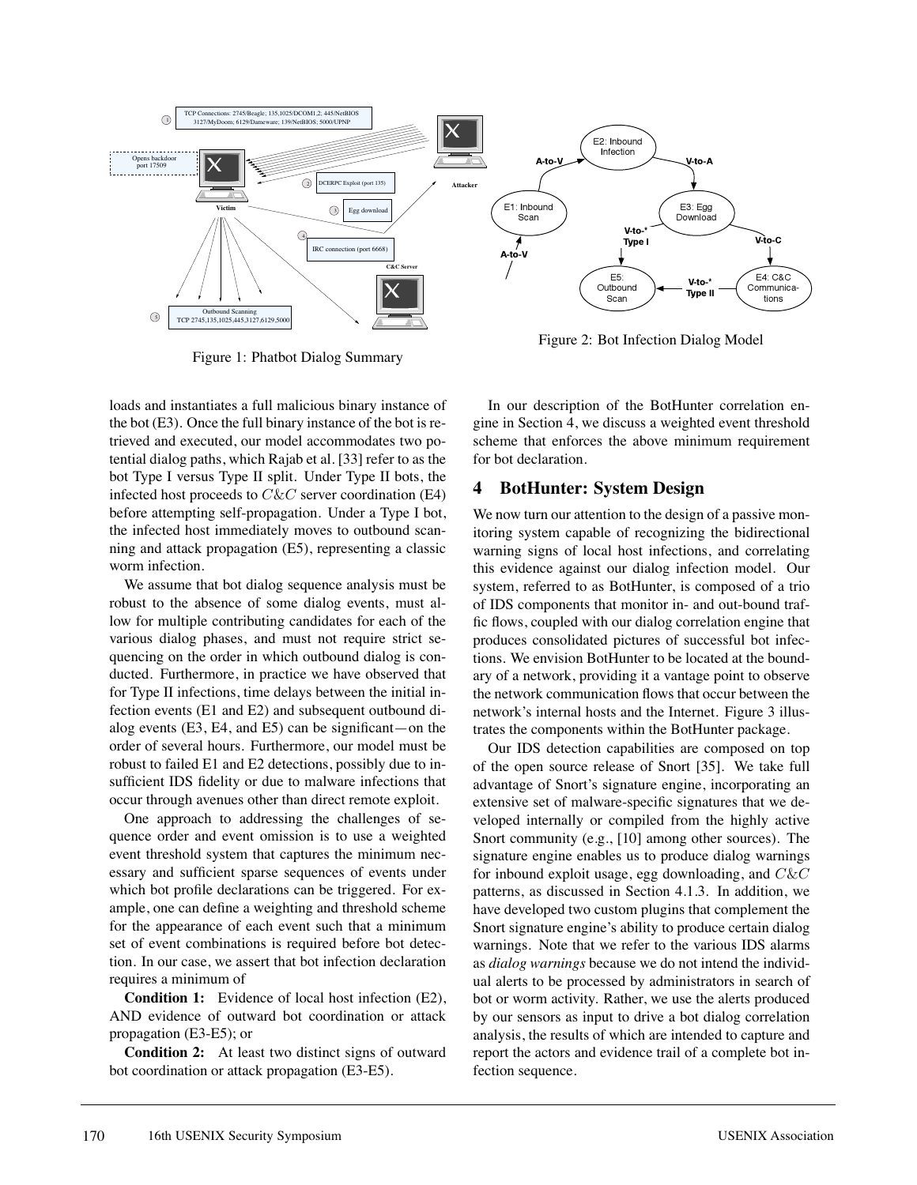

Figure 1: Phatbot Dialog Summary

Figure 2: Bot Infection Dialog Model

loads and instantiates a full malicious binary instance of the bot (E3). Once the full binary instance of the bot is retrieved and executed, our model accommodates two potential dialog paths, which Rajab et al. [33] refer to as the bot Type I versus Type II split. Under Type II bots, the infected host proceeds to  $C\&C$  server coordination (E4) before attempting self-propagation. Under a Type I bot, the infected host immediately moves to outbound scanning and attack propagation (E5), representing a classic worm infection.

We assume that bot dialog sequence analysis must be robust to the absence of some dialog events, must allow for multiple contributing candidates for each of the various dialog phases, and must not require strict sequencing on the order in which outbound dialog is conducted. Furthermore, in practice we have observed that for Type II infections, time delays between the initial infection events (E1 and E2) and subsequent outbound dialog events (E3, E4, and E5) can be significant—on the order of several hours. Furthermore, our model must be robust to failed E1 and E2 detections, possibly due to insufficient IDS fidelity or due to malware infections that occur through avenues other than direct remote exploit.

One approach to addressing the challenges of sequence order and event omission is to use a weighted event threshold system that captures the minimum necessary and sufficient sparse sequences of events under which bot profile declarations can be triggered. For example, one can define a weighting and threshold scheme for the appearance of each event such that a minimum set of event combinations is required before bot detection. In our case, we assert that bot infection declaration requires a minimum of

**Condition 1:** Evidence of local host infection (E2), AND evidence of outward bot coordination or attack propagation (E3-E5); or

**Condition 2:** At least two distinct signs of outward bot coordination or attack propagation (E3-E5).

In our description of the BotHunter correlation engine in Section 4, we discuss a weighted event threshold scheme that enforces the above minimum requirement for bot declaration.

# **4 BotHunter: System Design**

We now turn our attention to the design of a passive monitoring system capable of recognizing the bidirectional warning signs of local host infections, and correlating this evidence against our dialog infection model. Our system, referred to as BotHunter, is composed of a trio of IDS components that monitor in- and out-bound traffic flows, coupled with our dialog correlation engine that produces consolidated pictures of successful bot infections. We envision BotHunter to be located at the boundary of a network, providing it a vantage point to observe the network communication flows that occur between the network's internal hosts and the Internet. Figure 3 illustrates the components within the BotHunter package.

Our IDS detection capabilities are composed on top of the open source release of Snort [35]. We take full advantage of Snort's signature engine, incorporating an extensive set of malware-specific signatures that we developed internally or compiled from the highly active Snort community (e.g., [10] among other sources). The signature engine enables us to produce dialog warnings for inbound exploit usage, egg downloading, and  $C\&C$ patterns, as discussed in Section 4.1.3. In addition, we have developed two custom plugins that complement the Snort signature engine's ability to produce certain dialog warnings. Note that we refer to the various IDS alarms as *dialog warnings* because we do not intend the individual alerts to be processed by administrators in search of bot or worm activity. Rather, we use the alerts produced by our sensors as input to drive a bot dialog correlation analysis, the results of which are intended to capture and report the actors and evidence trail of a complete bot infection sequence.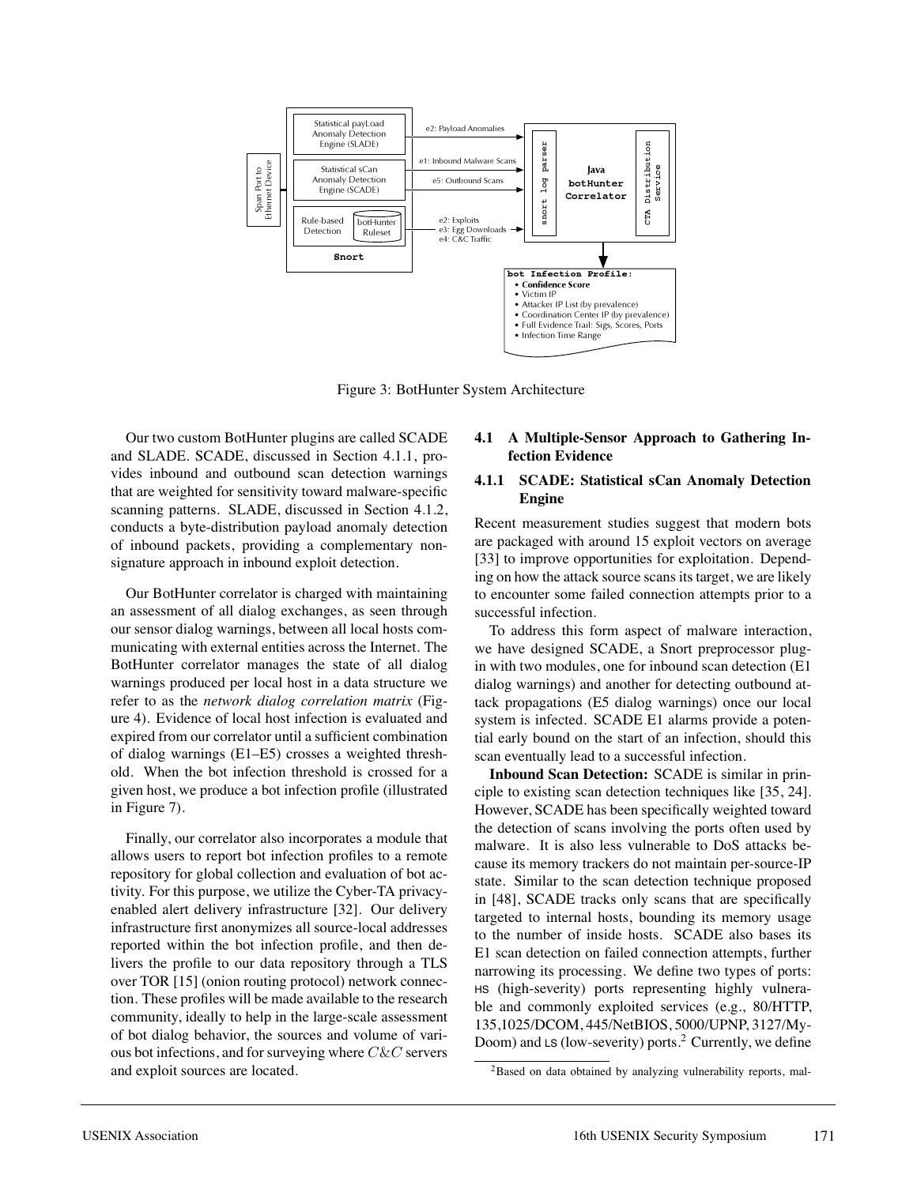

Figure 3: BotHunter System Architecture

Our two custom BotHunter plugins are called SCADE and SLADE. SCADE, discussed in Section 4.1.1, provides inbound and outbound scan detection warnings that are weighted for sensitivity toward malware-specific scanning patterns. SLADE, discussed in Section 4.1.2, conducts a byte-distribution payload anomaly detection of inbound packets, providing a complementary nonsignature approach in inbound exploit detection.

Our BotHunter correlator is charged with maintaining an assessment of all dialog exchanges, as seen through our sensor dialog warnings, between all local hosts communicating with external entities across the Internet. The BotHunter correlator manages the state of all dialog warnings produced per local host in a data structure we refer to as the *network dialog correlation matrix* (Figure 4). Evidence of local host infection is evaluated and expired from our correlator until a sufficient combination of dialog warnings (E1–E5) crosses a weighted threshold. When the bot infection threshold is crossed for a given host, we produce a bot infection profile (illustrated in Figure 7).

Finally, our correlator also incorporates a module that allows users to report bot infection profiles to a remote repository for global collection and evaluation of bot activity. For this purpose, we utilize the Cyber-TA privacyenabled alert delivery infrastructure [32]. Our delivery infrastructure first anonymizes all source-local addresses reported within the bot infection profile, and then delivers the profile to our data repository through a TLS over TOR [15] (onion routing protocol) network connection. These profiles will be made available to the research community, ideally to help in the large-scale assessment of bot dialog behavior, the sources and volume of various bot infections, and for surveying where  $C\&C$  servers and exploit sources are located.

### **4.1 A Multiple-Sensor Approach to Gathering Infection Evidence**

#### **4.1.1 SCADE: Statistical sCan Anomaly Detection Engine**

Recent measurement studies suggest that modern bots are packaged with around 15 exploit vectors on average [33] to improve opportunities for exploitation. Depending on how the attack source scans its target, we are likely to encounter some failed connection attempts prior to a successful infection.

To address this form aspect of malware interaction, we have designed SCADE, a Snort preprocessor plugin with two modules, one for inbound scan detection (E1 dialog warnings) and another for detecting outbound attack propagations (E5 dialog warnings) once our local system is infected. SCADE E1 alarms provide a potential early bound on the start of an infection, should this scan eventually lead to a successful infection.

**Inbound Scan Detection:** SCADE is similar in principle to existing scan detection techniques like [35, 24]. However, SCADE has been specifically weighted toward the detection of scans involving the ports often used by malware. It is also less vulnerable to DoS attacks because its memory trackers do not maintain per-source-IP state. Similar to the scan detection technique proposed in [48], SCADE tracks only scans that are specifically targeted to internal hosts, bounding its memory usage to the number of inside hosts. SCADE also bases its E1 scan detection on failed connection attempts, further narrowing its processing. We define two types of ports: HS (high-severity) ports representing highly vulnerable and commonly exploited services (e.g., 80/HTTP, 135,1025/DCOM, 445/NetBIOS, 5000/UPNP, 3127/My-Doom) and LS (low-severity) ports.<sup>2</sup> Currently, we define

<sup>&</sup>lt;sup>2</sup>Based on data obtained by analyzing vulnerability reports, mal-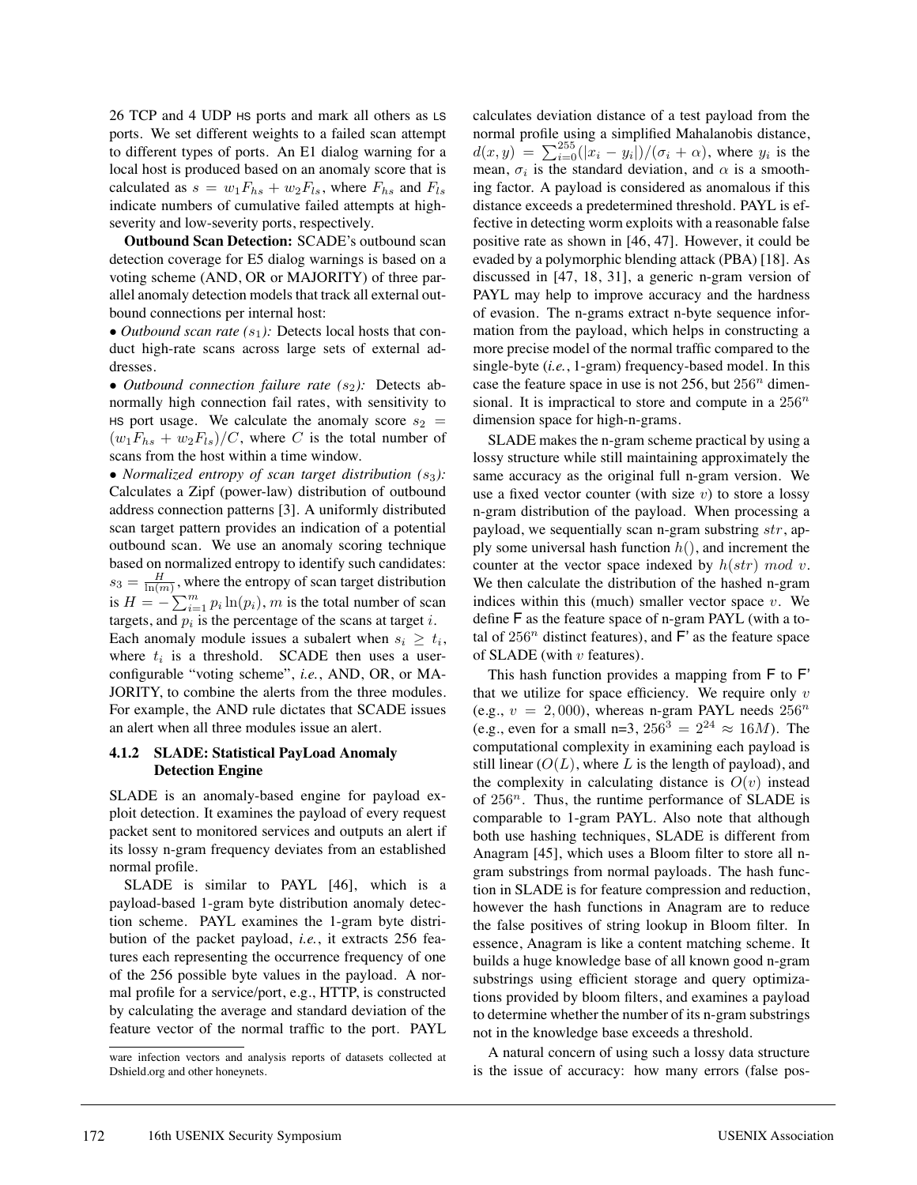26 TCP and 4 UDP HS ports and mark all others as LS ports. We set different weights to a failed scan attempt to different types of ports. An E1 dialog warning for a local host is produced based on an anomaly score that is calculated as  $s = w_1 F_{hs} + w_2 F_{ls}$ , where  $F_{hs}$  and  $F_{ls}$ indicate numbers of cumulative failed attempts at highseverity and low-severity ports, respectively.

**Outbound Scan Detection:** SCADE's outbound scan detection coverage for E5 dialog warnings is based on a voting scheme (AND, OR or MAJORITY) of three parallel anomaly detection models that track all external outbound connections per internal host:

• *Outbound scan rate*  $(s_1)$ : Detects local hosts that conduct high-rate scans across large sets of external addresses.

• *Outbound connection failure rate*  $(s_2)$ : Detects abnormally high connection fail rates, with sensitivity to HS port usage. We calculate the anomaly score  $s_2 =$  $(w_1F_{hs} + w_2F_{ls})/C$ , where C is the total number of scans from the host within a time window.

• *Normalized entropy of scan target distribution*  $(s_3)$ : Calculates a Zipf (power-law) distribution of outbound address connection patterns [3]. A uniformly distributed scan target pattern provides an indication of a potential outbound scan. We use an anomaly scoring technique based on normalized entropy to identify such candidates:  $s_3 = \frac{H}{\ln(m)}$ , where the entropy of scan target distribution is  $H = -\sum_{i=1}^{m} p_i \ln(p_i)$ , m is the total number of scan targets, and  $p_i$  is the percentage of the scans at target i. Each anomaly module issues a subalert when  $s_i \geq t_i$ , where  $t_i$  is a threshold. SCADE then uses a userconfigurable "voting scheme", *i.e.*, AND, OR, or MA-JORITY, to combine the alerts from the three modules. For example, the AND rule dictates that SCADE issues an alert when all three modules issue an alert.

### **4.1.2 SLADE: Statistical PayLoad Anomaly Detection Engine**

SLADE is an anomaly-based engine for payload exploit detection. It examines the payload of every request packet sent to monitored services and outputs an alert if its lossy n-gram frequency deviates from an established normal profile.

SLADE is similar to PAYL [46], which is a payload-based 1-gram byte distribution anomaly detection scheme. PAYL examines the 1-gram byte distribution of the packet payload, *i.e.*, it extracts 256 features each representing the occurrence frequency of one of the 256 possible byte values in the payload. A normal profile for a service/port, e.g., HTTP, is constructed by calculating the average and standard deviation of the feature vector of the normal traffic to the port. PAYL calculates deviation distance of a test payload from the normal profile using a simplified Mahalanobis distance,  $d(x,y) = \sum_{i=0}^{255} (|\tilde{x}_i - y_i|)/(\sigma_i + \alpha)$ , where  $y_i$  is the mean,  $\sigma_i$  is the standard deviation, and  $\alpha$  is a smoothing factor. A payload is considered as anomalous if this distance exceeds a predetermined threshold. PAYL is effective in detecting worm exploits with a reasonable false positive rate as shown in [46, 47]. However, it could be evaded by a polymorphic blending attack (PBA) [18]. As discussed in [47, 18, 31], a generic n-gram version of PAYL may help to improve accuracy and the hardness of evasion. The n-grams extract n-byte sequence information from the payload, which helps in constructing a more precise model of the normal traffic compared to the single-byte (*i.e.*, 1-gram) frequency-based model. In this case the feature space in use is not  $256$ , but  $256<sup>n</sup>$  dimensional. It is impractical to store and compute in a  $256^n$ dimension space for high-n-grams.

SLADE makes the n-gram scheme practical by using a lossy structure while still maintaining approximately the same accuracy as the original full n-gram version. We use a fixed vector counter (with size  $v$ ) to store a lossy n-gram distribution of the payload. When processing a payload, we sequentially scan n-gram substring  $str$ , apply some universal hash function  $h()$ , and increment the counter at the vector space indexed by  $h(str)$  mod v. We then calculate the distribution of the hashed n-gram indices within this (much) smaller vector space  $v$ . We define F as the feature space of n-gram PAYL (with a total of  $256^n$  distinct features), and F' as the feature space of SLADE (with  $v$  features).

This hash function provides a mapping from F to F' that we utilize for space efficiency. We require only  $v$ (e.g.,  $v = 2,000$ ), whereas n-gram PAYL needs  $256^n$ (e.g., even for a small n=3,  $256^3 = 2^{24} \approx 16M$ ). The computational complexity in examining each payload is still linear  $(O(L))$ , where L is the length of payload), and the complexity in calculating distance is  $O(v)$  instead of  $256^n$ . Thus, the runtime performance of SLADE is comparable to 1-gram PAYL. Also note that although both use hashing techniques, SLADE is different from Anagram [45], which uses a Bloom filter to store all ngram substrings from normal payloads. The hash function in SLADE is for feature compression and reduction, however the hash functions in Anagram are to reduce the false positives of string lookup in Bloom filter. In essence, Anagram is like a content matching scheme. It builds a huge knowledge base of all known good n-gram substrings using efficient storage and query optimizations provided by bloom filters, and examines a payload to determine whether the number of its n-gram substrings not in the knowledge base exceeds a threshold.

A natural concern of using such a lossy data structure is the issue of accuracy: how many errors (false pos-

ware infection vectors and analysis reports of datasets collected at Dshield.org and other honeynets.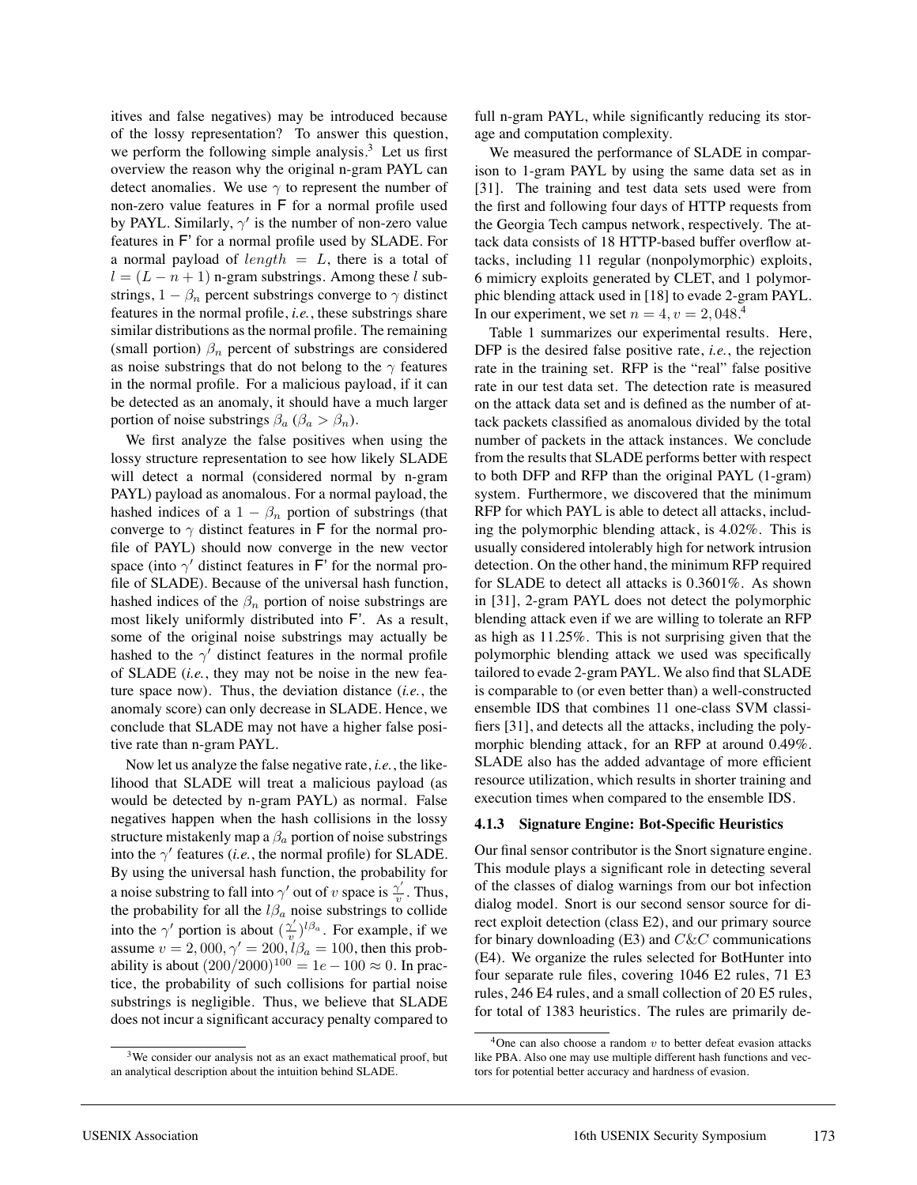itives and false negatives) may be introduced because of the lossy representation? To answer this question, we perform the following simple analysis. $3$  Let us first overview the reason why the original n-gram PAYL can detect anomalies. We use  $\gamma$  to represent the number of non-zero value features in F for a normal profile used by PAYL. Similarly,  $\gamma'$  is the number of non-zero value features in F' for a normal profile used by SLADE. For a normal payload of length  $= L$ , there is a total of  $l = (L - n + 1)$  n-gram substrings. Among these l substrings,  $1 - \beta_n$  percent substrings converge to  $\gamma$  distinct features in the normal profile, *i.e.*, these substrings share similar distributions as the normal profile. The remaining (small portion)  $\beta_n$  percent of substrings are considered as noise substrings that do not belong to the  $\gamma$  features in the normal profile. For a malicious payload, if it can be detected as an anomaly, it should have a much larger portion of noise substrings  $\beta_a$  ( $\beta_a > \beta_n$ ).

We first analyze the false positives when using the lossy structure representation to see how likely SLADE will detect a normal (considered normal by n-gram PAYL) payload as anomalous. For a normal payload, the hashed indices of a  $1 - \beta_n$  portion of substrings (that converge to  $\gamma$  distinct features in F for the normal profile of PAYL) should now converge in the new vector space (into  $\gamma'$  distinct features in F' for the normal profile of SLADE). Because of the universal hash function, hashed indices of the  $\beta_n$  portion of noise substrings are most likely uniformly distributed into F'. As a result, some of the original noise substrings may actually be hashed to the  $\gamma'$  distinct features in the normal profile of SLADE (*i.e.*, they may not be noise in the new feature space now). Thus, the deviation distance (*i.e.*, the anomaly score) can only decrease in SLADE. Hence, we conclude that SLADE may not have a higher false positive rate than n-gram PAYL.

Now let us analyze the false negative rate, *i.e.*, the likelihood that SLADE will treat a malicious payload (as would be detected by n-gram PAYL) as normal. False negatives happen when the hash collisions in the lossy structure mistakenly map a  $\beta_a$  portion of noise substrings into the  $\gamma'$  features (*i.e.*, the normal profile) for SLADE. By using the universal hash function, the probability for a noise substring to fall into  $\gamma'$  out of v space is  $\frac{\gamma'}{v}$ . Thus, the probability for all the  $l\beta_a$  noise substrings to collide into the  $\gamma'$  portion is about  $(\frac{\gamma'}{v})^{l\beta_a}$ . For example, if we assume  $v = 2,000, \gamma' = 200, l\beta_a = 100$ , then this probability is about  $(200/2000)^{100} = 1e - 100 \approx 0$ . In practice, the probability of such collisions for partial noise substrings is negligible. Thus, we believe that SLADE does not incur a significant accuracy penalty compared to

full n-gram PAYL, while significantly reducing its storage and computation complexity.

We measured the performance of SLADE in comparison to 1-gram PAYL by using the same data set as in [31]. The training and test data sets used were from the first and following four days of HTTP requests from the Georgia Tech campus network, respectively. The attack data consists of 18 HTTP-based buffer overflow attacks, including 11 regular (nonpolymorphic) exploits, 6 mimicry exploits generated by CLET, and 1 polymorphic blending attack used in [18] to evade 2-gram PAYL. In our experiment, we set  $n = 4, v = 2,048$ .

Table 1 summarizes our experimental results. Here, DFP is the desired false positive rate, *i.e.*, the rejection rate in the training set. RFP is the "real" false positive rate in our test data set. The detection rate is measured on the attack data set and is defined as the number of attack packets classified as anomalous divided by the total number of packets in the attack instances. We conclude from the results that SLADE performs better with respect to both DFP and RFP than the original PAYL (1-gram) system. Furthermore, we discovered that the minimum RFP for which PAYL is able to detect all attacks, including the polymorphic blending attack, is 4.02%. This is usually considered intolerably high for network intrusion detection. On the other hand, the minimum RFP required for SLADE to detect all attacks is 0.3601%. As shown in [31], 2-gram PAYL does not detect the polymorphic blending attack even if we are willing to tolerate an RFP as high as 11.25%. This is not surprising given that the polymorphic blending attack we used was specifically tailored to evade 2-gram PAYL. We also find that SLADE is comparable to (or even better than) a well-constructed ensemble IDS that combines 11 one-class SVM classifiers [31], and detects all the attacks, including the polymorphic blending attack, for an RFP at around 0.49%. SLADE also has the added advantage of more efficient resource utilization, which results in shorter training and execution times when compared to the ensemble IDS.

#### **4.1.3 Signature Engine: Bot-Specific Heuristics**

Our final sensor contributor is the Snort signature engine. This module plays a significant role in detecting several of the classes of dialog warnings from our bot infection dialog model. Snort is our second sensor source for direct exploit detection (class E2), and our primary source for binary downloading  $(E3)$  and  $C\&C$  communications (E4). We organize the rules selected for BotHunter into four separate rule files, covering 1046 E2 rules, 71 E3 rules, 246 E4 rules, and a small collection of 20 E5 rules, for total of 1383 heuristics. The rules are primarily de-

<sup>&</sup>lt;sup>3</sup>We consider our analysis not as an exact mathematical proof, but an analytical description about the intuition behind SLADE.

 $4$ One can also choose a random  $v$  to better defeat evasion attacks like PBA. Also one may use multiple different hash functions and vectors for potential better accuracy and hardness of evasion.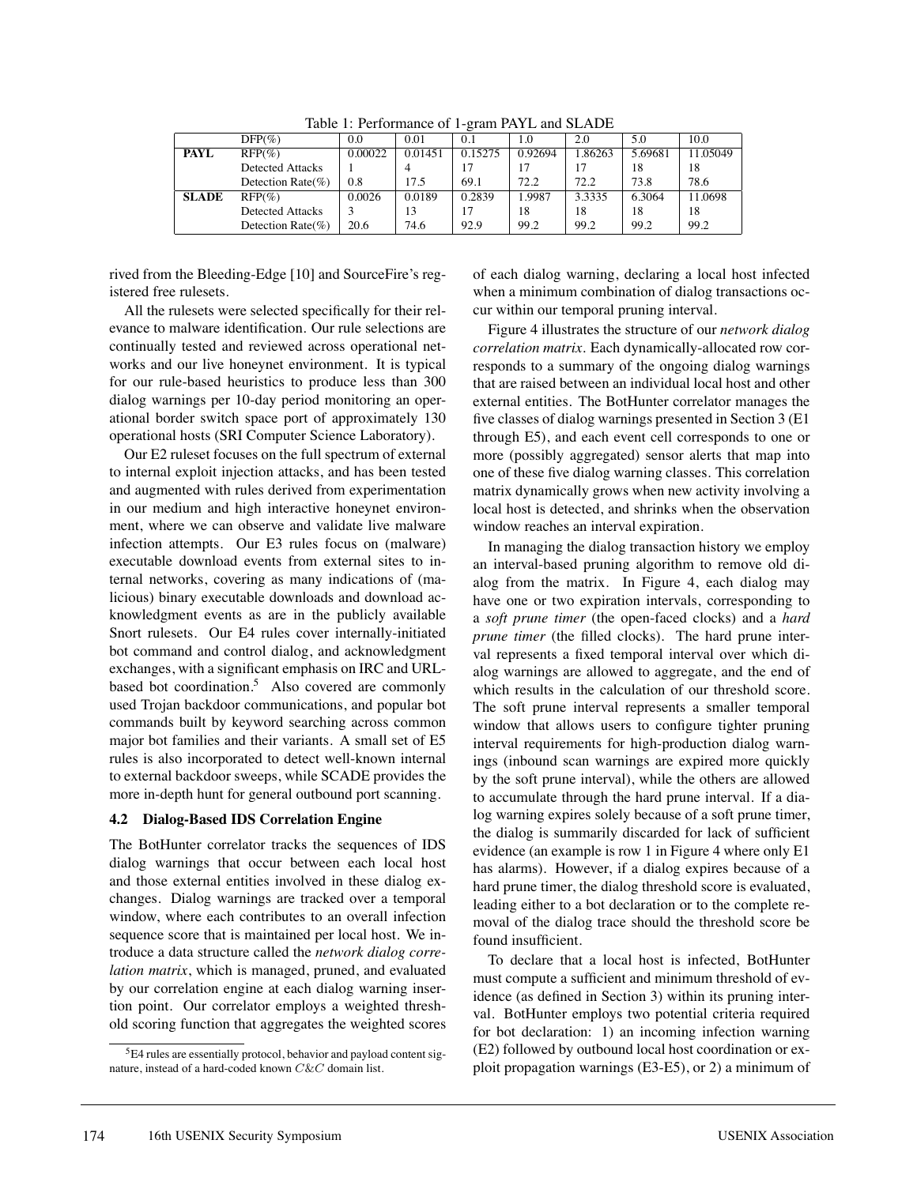|              | $DFP(\% )$              | 0.0     | 0.01    | 0.1     | 1.0     | 2.0     | 5.0     | 10.0     |
|--------------|-------------------------|---------|---------|---------|---------|---------|---------|----------|
| <b>PAYL</b>  | $RFP(\%)$               | 0.00022 | 0.01451 | 0.15275 | 0.92694 | 1.86263 | 5.69681 | 11.05049 |
|              | <b>Detected Attacks</b> |         | 4       |         |         |         | 18      | 18       |
|              | Detection Rate $(\% )$  | 0.8     | 17.5    | 69.1    | 72.2    | 72.2    | 73.8    | 78.6     |
| <b>SLADE</b> | $RFP(\%)$               | 0.0026  | 0.0189  | 0.2839  | 1.9987  | 3.3335  | 6.3064  | 11.0698  |
|              | <b>Detected Attacks</b> |         | 13      |         | 18      | 18      | 18      | 18       |
|              | Detection Rate $(\%)$   | 20.6    | 74.6    | 92.9    | 99.2    | 99.2    | 99.2    | 99.2     |

Table 1: Performance of 1-gram PAYL and SLADE

rived from the Bleeding-Edge [10] and SourceFire's registered free rulesets.

All the rulesets were selected specifically for their relevance to malware identification. Our rule selections are continually tested and reviewed across operational networks and our live honeynet environment. It is typical for our rule-based heuristics to produce less than 300 dialog warnings per 10-day period monitoring an operational border switch space port of approximately 130 operational hosts (SRI Computer Science Laboratory).

Our E2 ruleset focuses on the full spectrum of external to internal exploit injection attacks, and has been tested and augmented with rules derived from experimentation in our medium and high interactive honeynet environment, where we can observe and validate live malware infection attempts. Our E3 rules focus on (malware) executable download events from external sites to internal networks, covering as many indications of (malicious) binary executable downloads and download acknowledgment events as are in the publicly available Snort rulesets. Our E4 rules cover internally-initiated bot command and control dialog, and acknowledgment exchanges, with a significant emphasis on IRC and URLbased bot coordination. $5$  Also covered are commonly used Trojan backdoor communications, and popular bot commands built by keyword searching across common major bot families and their variants. A small set of E5 rules is also incorporated to detect well-known internal to external backdoor sweeps, while SCADE provides the more in-depth hunt for general outbound port scanning.

### **4.2 Dialog-Based IDS Correlation Engine**

The BotHunter correlator tracks the sequences of IDS dialog warnings that occur between each local host and those external entities involved in these dialog exchanges. Dialog warnings are tracked over a temporal window, where each contributes to an overall infection sequence score that is maintained per local host. We introduce a data structure called the *network dialog correlation matrix*, which is managed, pruned, and evaluated by our correlation engine at each dialog warning insertion point. Our correlator employs a weighted threshold scoring function that aggregates the weighted scores

of each dialog warning, declaring a local host infected when a minimum combination of dialog transactions occur within our temporal pruning interval.

Figure 4 illustrates the structure of our *network dialog correlation matrix*. Each dynamically-allocated row corresponds to a summary of the ongoing dialog warnings that are raised between an individual local host and other external entities. The BotHunter correlator manages the five classes of dialog warnings presented in Section 3 (E1 through E5), and each event cell corresponds to one or more (possibly aggregated) sensor alerts that map into one of these five dialog warning classes. This correlation matrix dynamically grows when new activity involving a local host is detected, and shrinks when the observation window reaches an interval expiration.

In managing the dialog transaction history we employ an interval-based pruning algorithm to remove old dialog from the matrix. In Figure 4, each dialog may have one or two expiration intervals, corresponding to a *soft prune timer* (the open-faced clocks) and a *hard prune timer* (the filled clocks). The hard prune interval represents a fixed temporal interval over which dialog warnings are allowed to aggregate, and the end of which results in the calculation of our threshold score. The soft prune interval represents a smaller temporal window that allows users to configure tighter pruning interval requirements for high-production dialog warnings (inbound scan warnings are expired more quickly by the soft prune interval), while the others are allowed to accumulate through the hard prune interval. If a dialog warning expires solely because of a soft prune timer, the dialog is summarily discarded for lack of sufficient evidence (an example is row 1 in Figure 4 where only E1 has alarms). However, if a dialog expires because of a hard prune timer, the dialog threshold score is evaluated, leading either to a bot declaration or to the complete removal of the dialog trace should the threshold score be found insufficient.

To declare that a local host is infected, BotHunter must compute a sufficient and minimum threshold of evidence (as defined in Section 3) within its pruning interval. BotHunter employs two potential criteria required for bot declaration: 1) an incoming infection warning (E2) followed by outbound local host coordination or exploit propagation warnings (E3-E5), or 2) a minimum of

<sup>5</sup>E4 rules are essentially protocol, behavior and payload content signature, instead of a hard-coded known C&C domain list.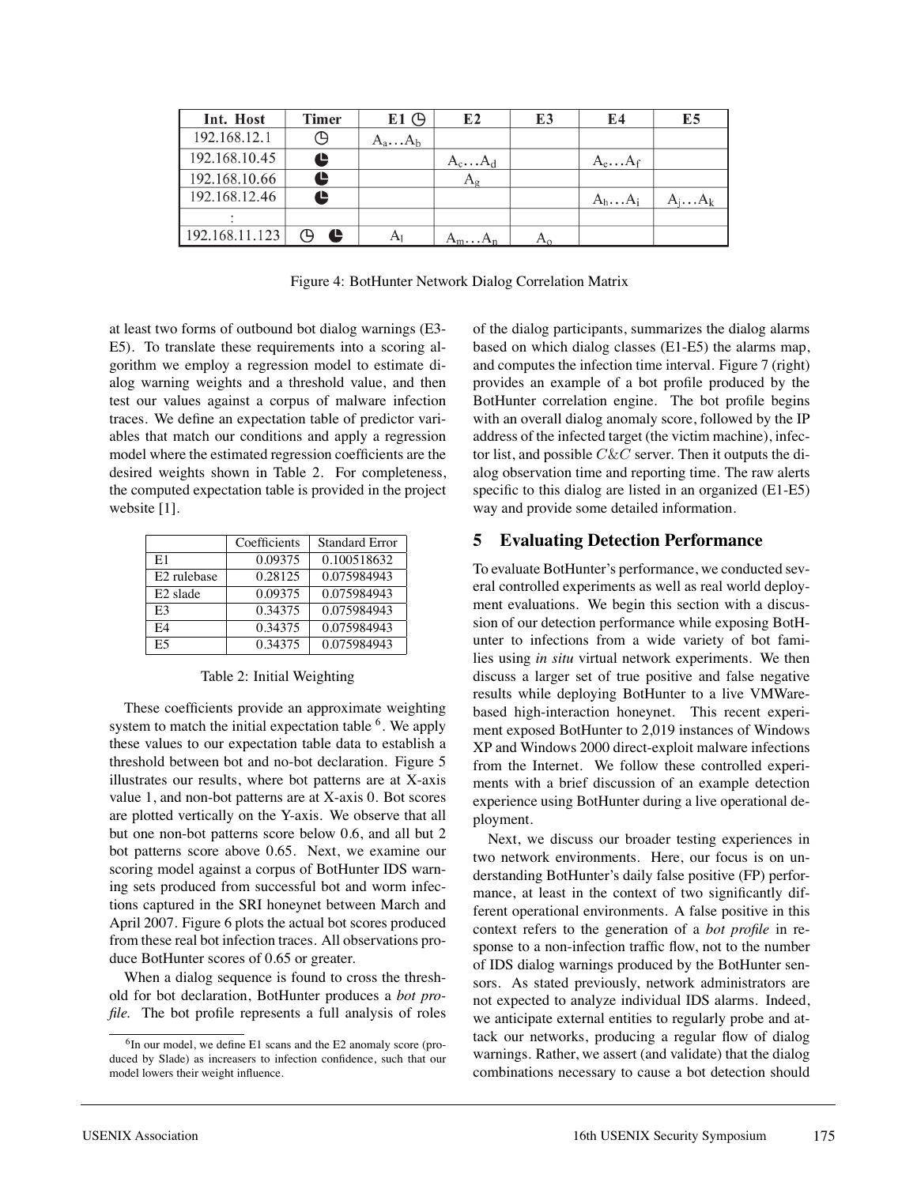| Int. Host      | <b>Timer</b> | $E1$ $\bigoplus$ | E2               | E3 | E4              | E5              |
|----------------|--------------|------------------|------------------|----|-----------------|-----------------|
| 192.168.12.1   |              | $A_a \dots A_b$  |                  |    |                 |                 |
| 192.168.10.45  | t            |                  | $A_c \ldots A_d$ |    | $A_e \dots A_f$ |                 |
| 192.168.10.66  |              |                  | $A_{\rm g}$      |    |                 |                 |
| 192.168.12.46  | Ŀ            |                  |                  |    | $A_h \dots A_i$ | $A_i \dots A_k$ |
|                |              |                  |                  |    |                 |                 |
| 192.168.11.123 | e            | Αı               | $A_mA_n$         |    |                 |                 |

Figure 4: BotHunter Network Dialog Correlation Matrix

at least two forms of outbound bot dialog warnings (E3- E5). To translate these requirements into a scoring algorithm we employ a regression model to estimate dialog warning weights and a threshold value, and then test our values against a corpus of malware infection traces. We define an expectation table of predictor variables that match our conditions and apply a regression model where the estimated regression coefficients are the desired weights shown in Table 2. For completeness, the computed expectation table is provided in the project website [1].

|                         | Coefficients | <b>Standard Error</b> |
|-------------------------|--------------|-----------------------|
| E1                      | 0.09375      | 0.100518632           |
| E <sub>2</sub> rulebase | 0.28125      | 0.075984943           |
| E <sub>2</sub> slade    | 0.09375      | 0.075984943           |
| E3                      | 0.34375      | 0.075984943           |
| FA                      | 0.34375      | 0.075984943           |
| E5                      | 0.34375      | 0.075984943           |

Table 2: Initial Weighting

These coefficients provide an approximate weighting system to match the initial expectation table  $6$ . We apply these values to our expectation table data to establish a threshold between bot and no-bot declaration. Figure 5 illustrates our results, where bot patterns are at X-axis value 1, and non-bot patterns are at X-axis 0. Bot scores are plotted vertically on the Y-axis. We observe that all but one non-bot patterns score below 0.6, and all but 2 bot patterns score above 0.65. Next, we examine our scoring model against a corpus of BotHunter IDS warning sets produced from successful bot and worm infections captured in the SRI honeynet between March and April 2007. Figure 6 plots the actual bot scores produced from these real bot infection traces. All observations produce BotHunter scores of 0.65 or greater.

When a dialog sequence is found to cross the threshold for bot declaration, BotHunter produces a *bot profile.* The bot profile represents a full analysis of roles of the dialog participants, summarizes the dialog alarms based on which dialog classes (E1-E5) the alarms map, and computes the infection time interval. Figure 7 (right) provides an example of a bot profile produced by the BotHunter correlation engine. The bot profile begins with an overall dialog anomaly score, followed by the IP address of the infected target (the victim machine), infector list, and possible  $C\&C$  server. Then it outputs the dialog observation time and reporting time. The raw alerts specific to this dialog are listed in an organized (E1-E5) way and provide some detailed information.

# **5 Evaluating Detection Performance**

To evaluate BotHunter's performance, we conducted several controlled experiments as well as real world deployment evaluations. We begin this section with a discussion of our detection performance while exposing BotHunter to infections from a wide variety of bot families using *in situ* virtual network experiments. We then discuss a larger set of true positive and false negative results while deploying BotHunter to a live VMWarebased high-interaction honeynet. This recent experiment exposed BotHunter to 2,019 instances of Windows XP and Windows 2000 direct-exploit malware infections from the Internet. We follow these controlled experiments with a brief discussion of an example detection experience using BotHunter during a live operational deployment.

Next, we discuss our broader testing experiences in two network environments. Here, our focus is on understanding BotHunter's daily false positive (FP) performance, at least in the context of two significantly different operational environments. A false positive in this context refers to the generation of a *bot profile* in response to a non-infection traffic flow, not to the number of IDS dialog warnings produced by the BotHunter sensors. As stated previously, network administrators are not expected to analyze individual IDS alarms. Indeed, we anticipate external entities to regularly probe and attack our networks, producing a regular flow of dialog warnings. Rather, we assert (and validate) that the dialog combinations necessary to cause a bot detection should

<sup>6</sup>In our model, we define E1 scans and the E2 anomaly score (produced by Slade) as increasers to infection confidence, such that our model lowers their weight influence.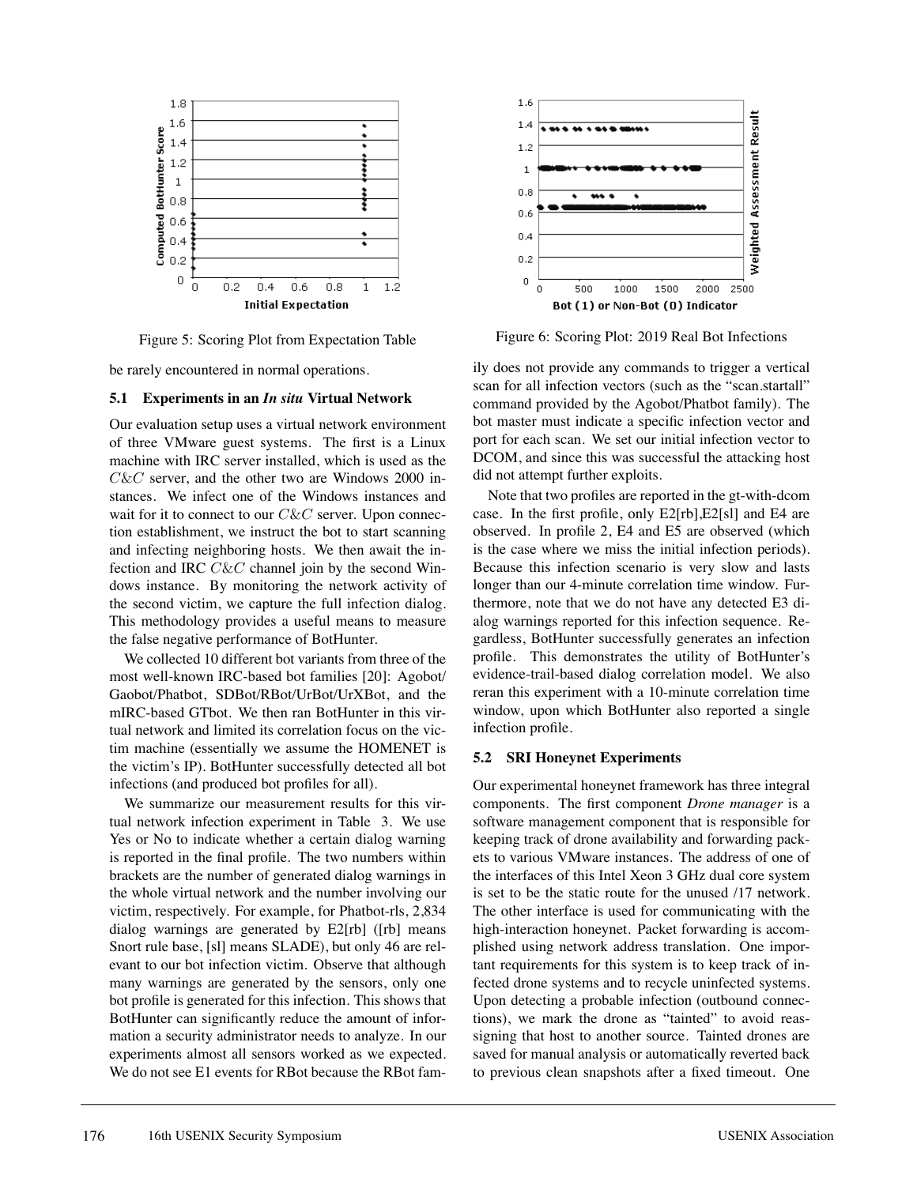

Figure 5: Scoring Plot from Expectation Table

be rarely encountered in normal operations.

#### **5.1 Experiments in an** *In situ* **Virtual Network**

Our evaluation setup uses a virtual network environment of three VMware guest systems. The first is a Linux machine with IRC server installed, which is used as the  $C\&C$  server, and the other two are Windows 2000 instances. We infect one of the Windows instances and wait for it to connect to our  $C\&C$  server. Upon connection establishment, we instruct the bot to start scanning and infecting neighboring hosts. We then await the infection and IRC  $C\&C$  channel join by the second Windows instance. By monitoring the network activity of the second victim, we capture the full infection dialog. This methodology provides a useful means to measure the false negative performance of BotHunter.

We collected 10 different bot variants from three of the most well-known IRC-based bot families [20]: Agobot/ Gaobot/Phatbot, SDBot/RBot/UrBot/UrXBot, and the mIRC-based GTbot. We then ran BotHunter in this virtual network and limited its correlation focus on the victim machine (essentially we assume the HOMENET is the victim's IP). BotHunter successfully detected all bot infections (and produced bot profiles for all).

We summarize our measurement results for this virtual network infection experiment in Table 3. We use Yes or No to indicate whether a certain dialog warning is reported in the final profile. The two numbers within brackets are the number of generated dialog warnings in the whole virtual network and the number involving our victim, respectively. For example, for Phatbot-rls, 2,834 dialog warnings are generated by E2[rb] ([rb] means Snort rule base, [sl] means SLADE), but only 46 are relevant to our bot infection victim. Observe that although many warnings are generated by the sensors, only one bot profile is generated for this infection. This shows that BotHunter can significantly reduce the amount of information a security administrator needs to analyze. In our experiments almost all sensors worked as we expected. We do not see E1 events for RBot because the RBot fam-



Figure 6: Scoring Plot: 2019 Real Bot Infections

ily does not provide any commands to trigger a vertical scan for all infection vectors (such as the "scan.startall" command provided by the Agobot/Phatbot family). The bot master must indicate a specific infection vector and port for each scan. We set our initial infection vector to DCOM, and since this was successful the attacking host did not attempt further exploits.

Note that two profiles are reported in the gt-with-dcom case. In the first profile, only E2[rb],E2[sl] and E4 are observed. In profile 2, E4 and E5 are observed (which is the case where we miss the initial infection periods). Because this infection scenario is very slow and lasts longer than our 4-minute correlation time window. Furthermore, note that we do not have any detected E3 dialog warnings reported for this infection sequence. Regardless, BotHunter successfully generates an infection profile. This demonstrates the utility of BotHunter's evidence-trail-based dialog correlation model. We also reran this experiment with a 10-minute correlation time window, upon which BotHunter also reported a single infection profile.

#### **5.2 SRI Honeynet Experiments**

Our experimental honeynet framework has three integral components. The first component *Drone manager* is a software management component that is responsible for keeping track of drone availability and forwarding packets to various VMware instances. The address of one of the interfaces of this Intel Xeon 3 GHz dual core system is set to be the static route for the unused /17 network. The other interface is used for communicating with the high-interaction honeynet. Packet forwarding is accomplished using network address translation. One important requirements for this system is to keep track of infected drone systems and to recycle uninfected systems. Upon detecting a probable infection (outbound connections), we mark the drone as "tainted" to avoid reassigning that host to another source. Tainted drones are saved for manual analysis or automatically reverted back to previous clean snapshots after a fixed timeout. One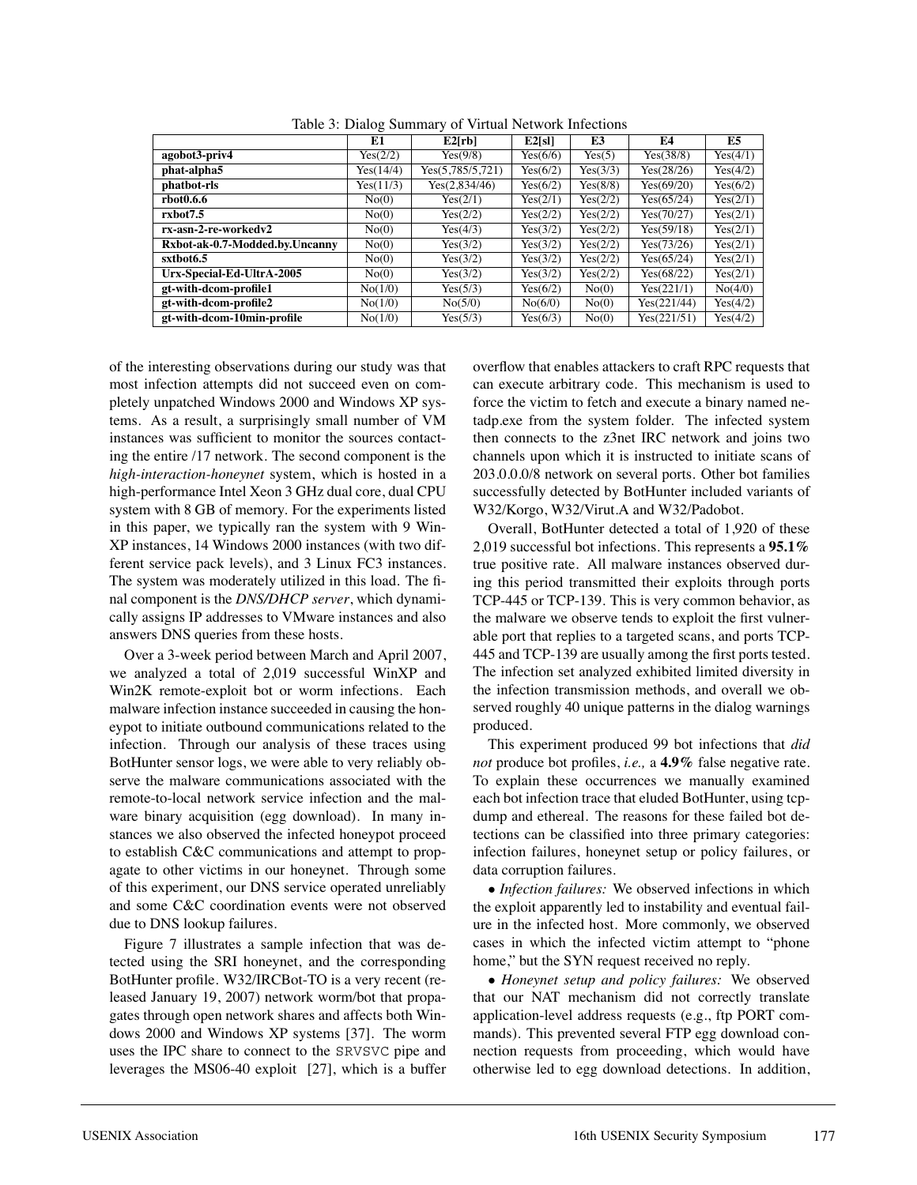|                                | E1        | E2[rb]           | E2[s]    | E3       | E4          | E5       |
|--------------------------------|-----------|------------------|----------|----------|-------------|----------|
| agobot3-priv4                  | Yes(2/2)  | Yes(9/8)         | Yes(6/6) | Yes(5)   | Yes(38/8)   | Yes(4/1) |
| phat-alpha5                    | Yes(14/4) | Yes(5,785/5,721) | Yes(6/2) | Yes(3/3) | Yes(28/26)  | Yes(4/2) |
| phatbot-rls                    | Yes(11/3) | Yes(2,834/46)    | Yes(6/2) | Yes(8/8) | Yes(69/20)  | Yes(6/2) |
| rbot0.6.6                      | No(0)     | Yes(2/1)         | Yes(2/1) | Yes(2/2) | Yes(65/24)  | Yes(2/1) |
| rxbot7.5                       | No(0)     | Yes(2/2)         | Yes(2/2) | Yes(2/2) | Yes(70/27)  | Yes(2/1) |
| rx-asn-2-re-workedy2           | No(0)     | Yes(4/3)         | Yes(3/2) | Yes(2/2) | Yes(59/18)  | Yes(2/1) |
| Rxbot-ak-0.7-Modded.by.Uncanny | No(0)     | Yes(3/2)         | Yes(3/2) | Yes(2/2) | Yes(73/26)  | Yes(2/1) |
| sxtbot6.5                      | No(0)     | Yes(3/2)         | Yes(3/2) | Yes(2/2) | Yes(65/24)  | Yes(2/1) |
| Urx-Special-Ed-UltrA-2005      | No(0)     | Yes(3/2)         | Yes(3/2) | Yes(2/2) | Yes(68/22)  | Yes(2/1) |
| gt-with-dcom-profile1          | No(1/0)   | Yes(5/3)         | Yes(6/2) | No(0)    | Yes(221/1)  | No(4/0)  |
| gt-with-dcom-profile2          | No(1/0)   | No(5/0)          | No(6/0)  | No(0)    | Yes(221/44) | Yes(4/2) |
| gt-with-dcom-10min-profile     | No(1/0)   | Yes(5/3)         | Yes(6/3) | No(0)    | Yes(221/51) | Yes(4/2) |

Table 3: Dialog Summary of Virtual Network Infections

of the interesting observations during our study was that most infection attempts did not succeed even on completely unpatched Windows 2000 and Windows XP systems. As a result, a surprisingly small number of VM instances was sufficient to monitor the sources contacting the entire /17 network. The second component is the *high-interaction-honeynet* system, which is hosted in a high-performance Intel Xeon 3 GHz dual core, dual CPU system with 8 GB of memory. For the experiments listed in this paper, we typically ran the system with 9 Win-XP instances, 14 Windows 2000 instances (with two different service pack levels), and 3 Linux FC3 instances. The system was moderately utilized in this load. The final component is the *DNS/DHCP server*, which dynamically assigns IP addresses to VMware instances and also answers DNS queries from these hosts.

Over a 3-week period between March and April 2007, we analyzed a total of 2,019 successful WinXP and Win2K remote-exploit bot or worm infections. Each malware infection instance succeeded in causing the honeypot to initiate outbound communications related to the infection. Through our analysis of these traces using BotHunter sensor logs, we were able to very reliably observe the malware communications associated with the remote-to-local network service infection and the malware binary acquisition (egg download). In many instances we also observed the infected honeypot proceed to establish C&C communications and attempt to propagate to other victims in our honeynet. Through some of this experiment, our DNS service operated unreliably and some C&C coordination events were not observed due to DNS lookup failures.

Figure 7 illustrates a sample infection that was detected using the SRI honeynet, and the corresponding BotHunter profile. W32/IRCBot-TO is a very recent (released January 19, 2007) network worm/bot that propagates through open network shares and affects both Windows 2000 and Windows XP systems [37]. The worm uses the IPC share to connect to the SRVSVC pipe and leverages the MS06-40 exploit [27], which is a buffer

overflow that enables attackers to craft RPC requests that can execute arbitrary code. This mechanism is used to force the victim to fetch and execute a binary named netadp.exe from the system folder. The infected system then connects to the z3net IRC network and joins two channels upon which it is instructed to initiate scans of 203.0.0.0/8 network on several ports. Other bot families successfully detected by BotHunter included variants of W32/Korgo, W32/Virut.A and W32/Padobot.

Overall, BotHunter detected a total of 1,920 of these 2,019 successful bot infections. This represents a **95.1%** true positive rate. All malware instances observed during this period transmitted their exploits through ports TCP-445 or TCP-139. This is very common behavior, as the malware we observe tends to exploit the first vulnerable port that replies to a targeted scans, and ports TCP-445 and TCP-139 are usually among the first ports tested. The infection set analyzed exhibited limited diversity in the infection transmission methods, and overall we observed roughly 40 unique patterns in the dialog warnings produced.

This experiment produced 99 bot infections that *did not* produce bot profiles, *i.e.,* a **4.9%** false negative rate. To explain these occurrences we manually examined each bot infection trace that eluded BotHunter, using tcpdump and ethereal. The reasons for these failed bot detections can be classified into three primary categories: infection failures, honeynet setup or policy failures, or data corruption failures.

• *Infection failures:* We observed infections in which the exploit apparently led to instability and eventual failure in the infected host. More commonly, we observed cases in which the infected victim attempt to "phone home," but the SYN request received no reply.

• *Honeynet setup and policy failures:* We observed that our NAT mechanism did not correctly translate application-level address requests (e.g., ftp PORT commands). This prevented several FTP egg download connection requests from proceeding, which would have otherwise led to egg download detections. In addition,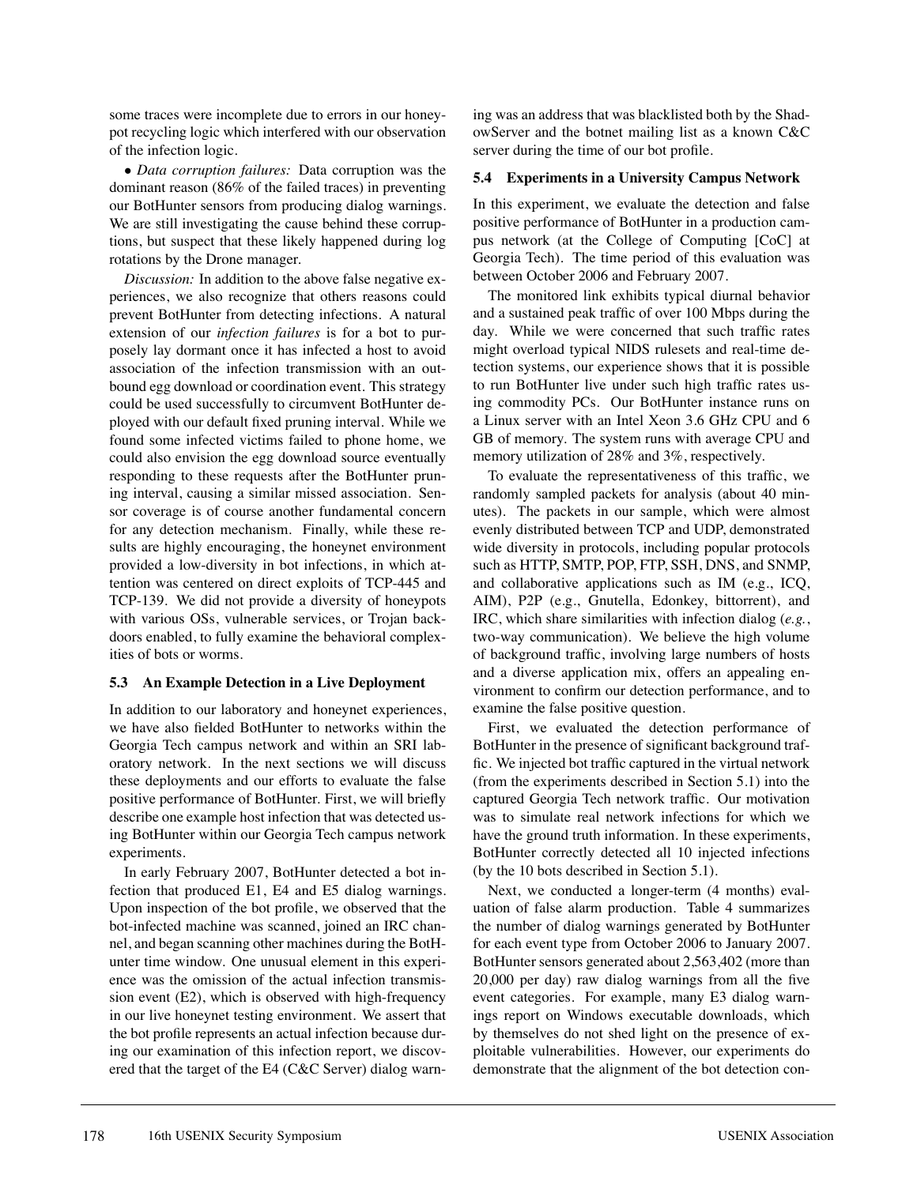some traces were incomplete due to errors in our honeypot recycling logic which interfered with our observation of the infection logic.

• *Data corruption failures:* Data corruption was the dominant reason (86% of the failed traces) in preventing our BotHunter sensors from producing dialog warnings. We are still investigating the cause behind these corruptions, but suspect that these likely happened during log rotations by the Drone manager.

*Discussion:* In addition to the above false negative experiences, we also recognize that others reasons could prevent BotHunter from detecting infections. A natural extension of our *infection failures* is for a bot to purposely lay dormant once it has infected a host to avoid association of the infection transmission with an outbound egg download or coordination event. This strategy could be used successfully to circumvent BotHunter deployed with our default fixed pruning interval. While we found some infected victims failed to phone home, we could also envision the egg download source eventually responding to these requests after the BotHunter pruning interval, causing a similar missed association. Sensor coverage is of course another fundamental concern for any detection mechanism. Finally, while these results are highly encouraging, the honeynet environment provided a low-diversity in bot infections, in which attention was centered on direct exploits of TCP-445 and TCP-139. We did not provide a diversity of honeypots with various OSs, vulnerable services, or Trojan backdoors enabled, to fully examine the behavioral complexities of bots or worms.

### **5.3 An Example Detection in a Live Deployment**

In addition to our laboratory and honeynet experiences, we have also fielded BotHunter to networks within the Georgia Tech campus network and within an SRI laboratory network. In the next sections we will discuss these deployments and our efforts to evaluate the false positive performance of BotHunter. First, we will briefly describe one example host infection that was detected using BotHunter within our Georgia Tech campus network experiments.

In early February 2007, BotHunter detected a bot infection that produced E1, E4 and E5 dialog warnings. Upon inspection of the bot profile, we observed that the bot-infected machine was scanned, joined an IRC channel, and began scanning other machines during the BotHunter time window. One unusual element in this experience was the omission of the actual infection transmission event (E2), which is observed with high-frequency in our live honeynet testing environment. We assert that the bot profile represents an actual infection because during our examination of this infection report, we discovered that the target of the E4 (C&C Server) dialog warning was an address that was blacklisted both by the ShadowServer and the botnet mailing list as a known C&C server during the time of our bot profile.

### **5.4 Experiments in a University Campus Network**

In this experiment, we evaluate the detection and false positive performance of BotHunter in a production campus network (at the College of Computing [CoC] at Georgia Tech). The time period of this evaluation was between October 2006 and February 2007.

The monitored link exhibits typical diurnal behavior and a sustained peak traffic of over 100 Mbps during the day. While we were concerned that such traffic rates might overload typical NIDS rulesets and real-time detection systems, our experience shows that it is possible to run BotHunter live under such high traffic rates using commodity PCs. Our BotHunter instance runs on a Linux server with an Intel Xeon 3.6 GHz CPU and 6 GB of memory. The system runs with average CPU and memory utilization of 28% and 3%, respectively.

To evaluate the representativeness of this traffic, we randomly sampled packets for analysis (about 40 minutes). The packets in our sample, which were almost evenly distributed between TCP and UDP, demonstrated wide diversity in protocols, including popular protocols such as HTTP, SMTP, POP, FTP, SSH, DNS, and SNMP, and collaborative applications such as IM (e.g., ICQ, AIM), P2P (e.g., Gnutella, Edonkey, bittorrent), and IRC, which share similarities with infection dialog (*e.g.*, two-way communication). We believe the high volume of background traffic, involving large numbers of hosts and a diverse application mix, offers an appealing environment to confirm our detection performance, and to examine the false positive question.

First, we evaluated the detection performance of BotHunter in the presence of significant background traffic. We injected bot traffic captured in the virtual network (from the experiments described in Section 5.1) into the captured Georgia Tech network traffic. Our motivation was to simulate real network infections for which we have the ground truth information. In these experiments, BotHunter correctly detected all 10 injected infections (by the 10 bots described in Section 5.1).

Next, we conducted a longer-term (4 months) evaluation of false alarm production. Table 4 summarizes the number of dialog warnings generated by BotHunter for each event type from October 2006 to January 2007. BotHunter sensors generated about 2,563,402 (more than 20,000 per day) raw dialog warnings from all the five event categories. For example, many E3 dialog warnings report on Windows executable downloads, which by themselves do not shed light on the presence of exploitable vulnerabilities. However, our experiments do demonstrate that the alignment of the bot detection con-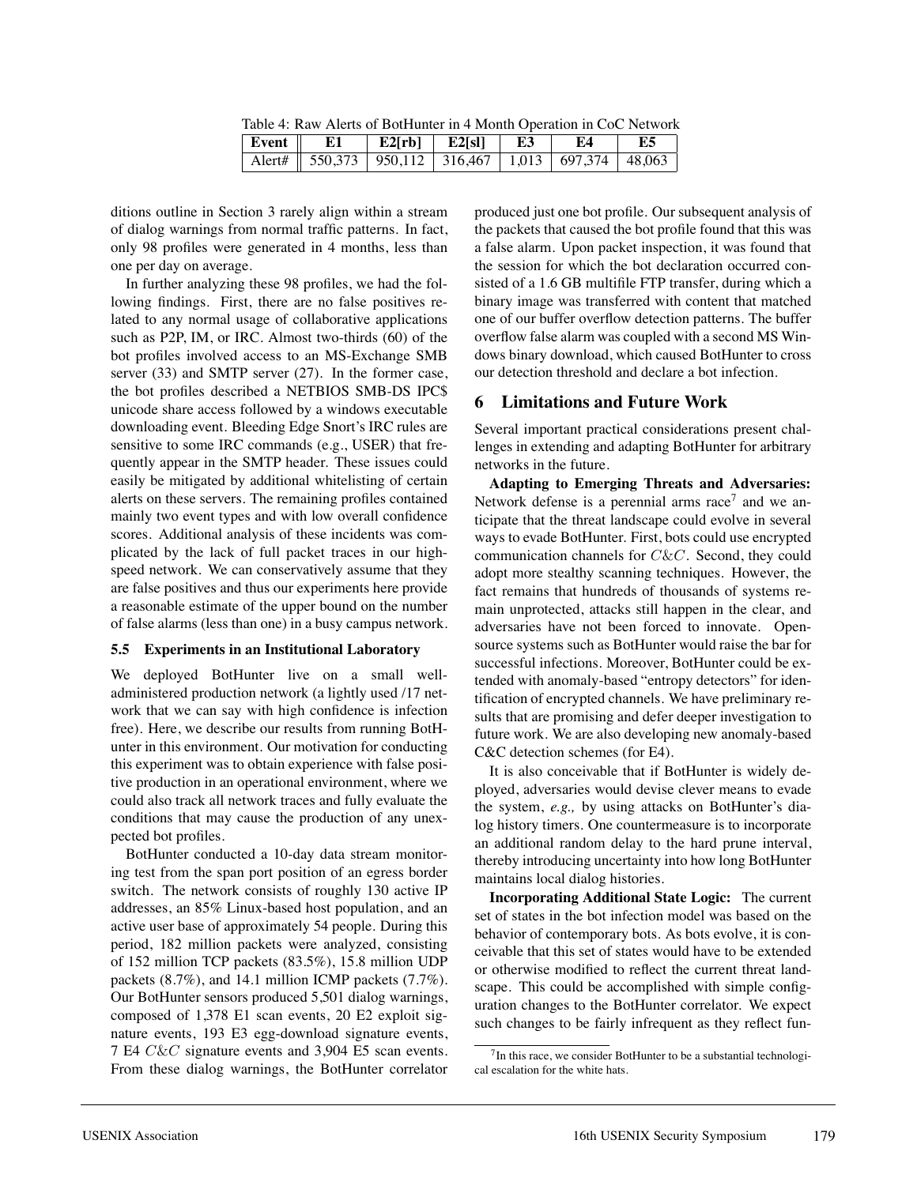Table 4: Raw Alerts of BotHunter in 4 Month Operation in CoC Network

| Event   E1 |                                                                 | E2[rb]   E2[sl]   E3   E4 |  | $\parallel$ E5 |
|------------|-----------------------------------------------------------------|---------------------------|--|----------------|
|            | Alert#   550,373   950,112   316,467   1,013   697,374   48,063 |                           |  |                |

ditions outline in Section 3 rarely align within a stream of dialog warnings from normal traffic patterns. In fact, only 98 profiles were generated in 4 months, less than one per day on average.

In further analyzing these 98 profiles, we had the following findings. First, there are no false positives related to any normal usage of collaborative applications such as P2P, IM, or IRC. Almost two-thirds (60) of the bot profiles involved access to an MS-Exchange SMB server (33) and SMTP server (27). In the former case, the bot profiles described a NETBIOS SMB-DS IPC\$ unicode share access followed by a windows executable downloading event. Bleeding Edge Snort's IRC rules are sensitive to some IRC commands (e.g., USER) that frequently appear in the SMTP header. These issues could easily be mitigated by additional whitelisting of certain alerts on these servers. The remaining profiles contained mainly two event types and with low overall confidence scores. Additional analysis of these incidents was complicated by the lack of full packet traces in our highspeed network. We can conservatively assume that they are false positives and thus our experiments here provide a reasonable estimate of the upper bound on the number of false alarms (less than one) in a busy campus network.

#### **5.5 Experiments in an Institutional Laboratory**

We deployed BotHunter live on a small welladministered production network (a lightly used /17 network that we can say with high confidence is infection free). Here, we describe our results from running BotHunter in this environment. Our motivation for conducting this experiment was to obtain experience with false positive production in an operational environment, where we could also track all network traces and fully evaluate the conditions that may cause the production of any unexpected bot profiles.

BotHunter conducted a 10-day data stream monitoring test from the span port position of an egress border switch. The network consists of roughly 130 active IP addresses, an 85% Linux-based host population, and an active user base of approximately 54 people. During this period, 182 million packets were analyzed, consisting of 152 million TCP packets (83.5%), 15.8 million UDP packets (8.7%), and 14.1 million ICMP packets (7.7%). Our BotHunter sensors produced 5,501 dialog warnings, composed of 1,378 E1 scan events, 20 E2 exploit signature events, 193 E3 egg-download signature events, 7 E4 C&C signature events and 3,904 E5 scan events. From these dialog warnings, the BotHunter correlator

produced just one bot profile. Our subsequent analysis of the packets that caused the bot profile found that this was a false alarm. Upon packet inspection, it was found that the session for which the bot declaration occurred consisted of a 1.6 GB multifile FTP transfer, during which a binary image was transferred with content that matched one of our buffer overflow detection patterns. The buffer overflow false alarm was coupled with a second MS Windows binary download, which caused BotHunter to cross our detection threshold and declare a bot infection.

# **6 Limitations and Future Work**

Several important practical considerations present challenges in extending and adapting BotHunter for arbitrary networks in the future.

**Adapting to Emerging Threats and Adversaries:** Network defense is a perennial arms race<sup>7</sup> and we anticipate that the threat landscape could evolve in several ways to evade BotHunter. First, bots could use encrypted communication channels for C&C. Second, they could adopt more stealthy scanning techniques. However, the fact remains that hundreds of thousands of systems remain unprotected, attacks still happen in the clear, and adversaries have not been forced to innovate. Opensource systems such as BotHunter would raise the bar for successful infections. Moreover, BotHunter could be extended with anomaly-based "entropy detectors" for identification of encrypted channels. We have preliminary results that are promising and defer deeper investigation to future work. We are also developing new anomaly-based C&C detection schemes (for E4).

It is also conceivable that if BotHunter is widely deployed, adversaries would devise clever means to evade the system, *e.g.,* by using attacks on BotHunter's dialog history timers. One countermeasure is to incorporate an additional random delay to the hard prune interval, thereby introducing uncertainty into how long BotHunter maintains local dialog histories.

**Incorporating Additional State Logic:** The current set of states in the bot infection model was based on the behavior of contemporary bots. As bots evolve, it is conceivable that this set of states would have to be extended or otherwise modified to reflect the current threat landscape. This could be accomplished with simple configuration changes to the BotHunter correlator. We expect such changes to be fairly infrequent as they reflect fun-

 $7$ In this race, we consider BotHunter to be a substantial technological escalation for the white hats.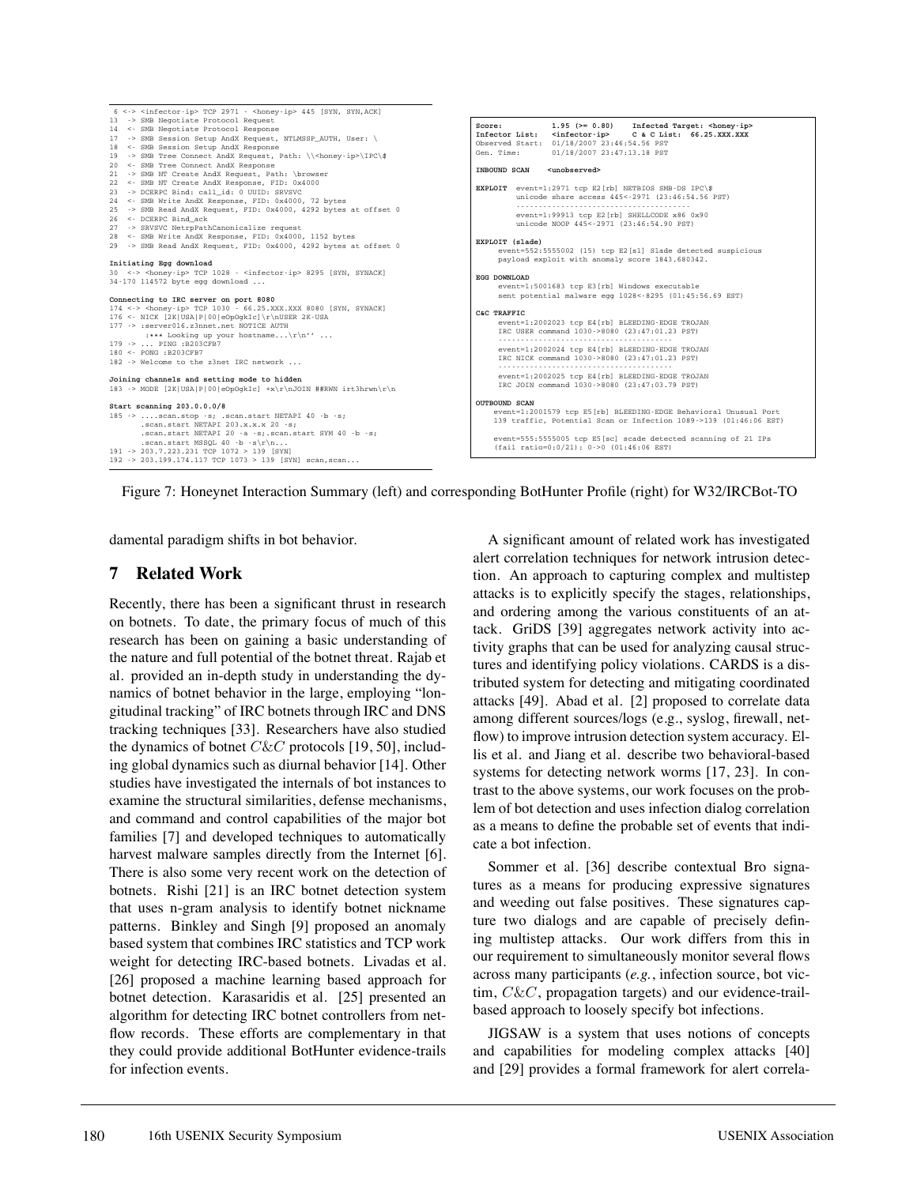

Figure 7: Honeynet Interaction Summary (left) and corresponding BotHunter Profile (right) for W32/IRCBot-TO

damental paradigm shifts in bot behavior.

## **7 Related Work**

Recently, there has been a significant thrust in research on botnets. To date, the primary focus of much of this research has been on gaining a basic understanding of the nature and full potential of the botnet threat. Rajab et al. provided an in-depth study in understanding the dynamics of botnet behavior in the large, employing "longitudinal tracking" of IRC botnets through IRC and DNS tracking techniques [33]. Researchers have also studied the dynamics of botnet  $C\&C$  protocols [19, 50], including global dynamics such as diurnal behavior [14]. Other studies have investigated the internals of bot instances to examine the structural similarities, defense mechanisms, and command and control capabilities of the major bot families [7] and developed techniques to automatically harvest malware samples directly from the Internet [6]. There is also some very recent work on the detection of botnets. Rishi [21] is an IRC botnet detection system that uses n-gram analysis to identify botnet nickname patterns. Binkley and Singh [9] proposed an anomaly based system that combines IRC statistics and TCP work weight for detecting IRC-based botnets. Livadas et al. [26] proposed a machine learning based approach for botnet detection. Karasaridis et al. [25] presented an algorithm for detecting IRC botnet controllers from netflow records. These efforts are complementary in that they could provide additional BotHunter evidence-trails for infection events.

A significant amount of related work has investigated alert correlation techniques for network intrusion detection. An approach to capturing complex and multistep attacks is to explicitly specify the stages, relationships, and ordering among the various constituents of an attack. GriDS [39] aggregates network activity into activity graphs that can be used for analyzing causal structures and identifying policy violations. CARDS is a distributed system for detecting and mitigating coordinated attacks [49]. Abad et al. [2] proposed to correlate data among different sources/logs (e.g., syslog, firewall, netflow) to improve intrusion detection system accuracy. Ellis et al. and Jiang et al. describe two behavioral-based systems for detecting network worms [17, 23]. In contrast to the above systems, our work focuses on the problem of bot detection and uses infection dialog correlation as a means to define the probable set of events that indicate a bot infection.

Sommer et al. [36] describe contextual Bro signatures as a means for producing expressive signatures and weeding out false positives. These signatures capture two dialogs and are capable of precisely defining multistep attacks. Our work differs from this in our requirement to simultaneously monitor several flows across many participants (*e.g.*, infection source, bot victim,  $C\&C$ , propagation targets) and our evidence-trailbased approach to loosely specify bot infections.

JIGSAW is a system that uses notions of concepts and capabilities for modeling complex attacks [40] and [29] provides a formal framework for alert correla-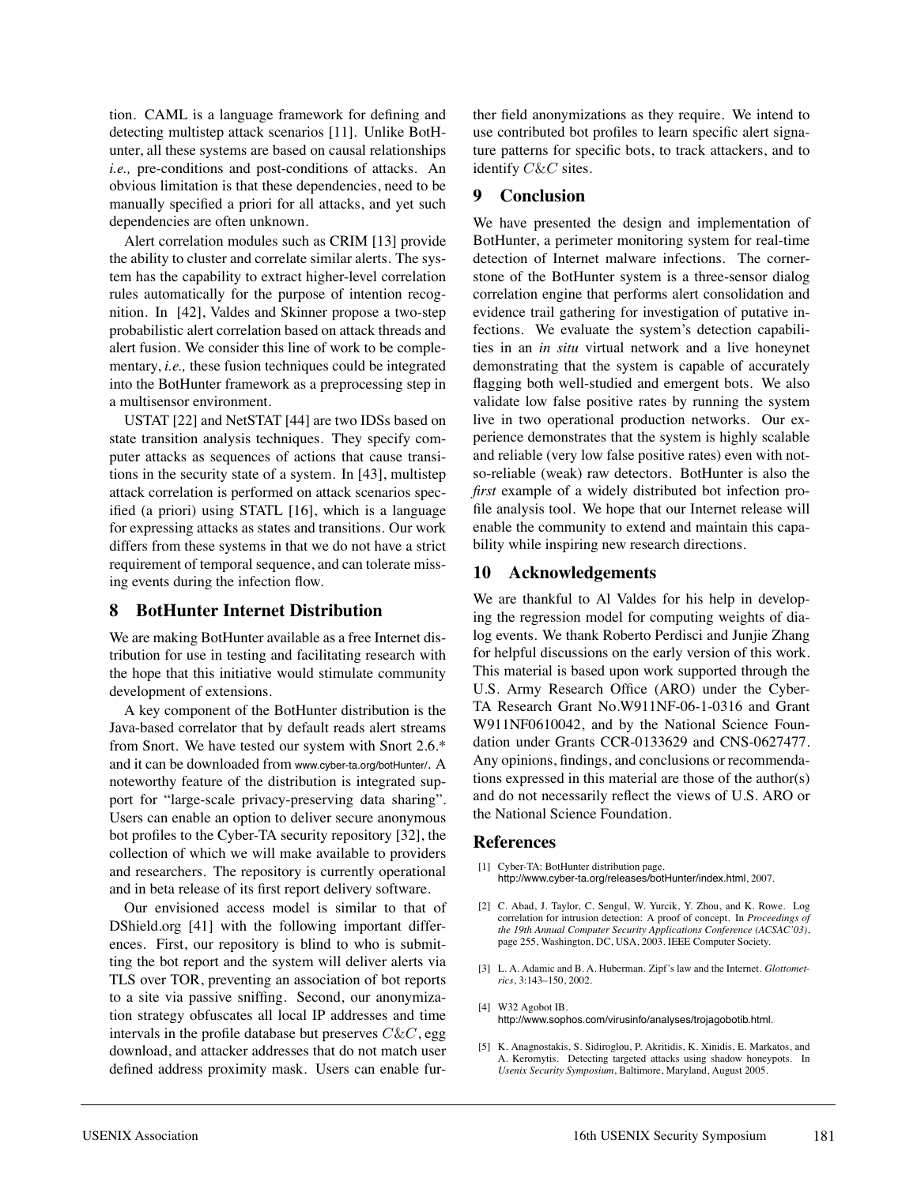tion. CAML is a language framework for defining and detecting multistep attack scenarios [11]. Unlike BotHunter, all these systems are based on causal relationships *i.e.,* pre-conditions and post-conditions of attacks. An obvious limitation is that these dependencies, need to be manually specified a priori for all attacks, and yet such dependencies are often unknown.

Alert correlation modules such as CRIM [13] provide the ability to cluster and correlate similar alerts. The system has the capability to extract higher-level correlation rules automatically for the purpose of intention recognition. In [42], Valdes and Skinner propose a two-step probabilistic alert correlation based on attack threads and alert fusion. We consider this line of work to be complementary, *i.e.,* these fusion techniques could be integrated into the BotHunter framework as a preprocessing step in a multisensor environment.

USTAT [22] and NetSTAT [44] are two IDSs based on state transition analysis techniques. They specify computer attacks as sequences of actions that cause transitions in the security state of a system. In [43], multistep attack correlation is performed on attack scenarios specified (a priori) using STATL [16], which is a language for expressing attacks as states and transitions. Our work differs from these systems in that we do not have a strict requirement of temporal sequence, and can tolerate missing events during the infection flow.

# **8 BotHunter Internet Distribution**

We are making BotHunter available as a free Internet distribution for use in testing and facilitating research with the hope that this initiative would stimulate community development of extensions.

A key component of the BotHunter distribution is the Java-based correlator that by default reads alert streams from Snort. We have tested our system with Snort 2.6.\* and it can be downloaded from www.cyber-ta.org/botHunter/. A noteworthy feature of the distribution is integrated support for "large-scale privacy-preserving data sharing". Users can enable an option to deliver secure anonymous bot profiles to the Cyber-TA security repository [32], the collection of which we will make available to providers and researchers. The repository is currently operational and in beta release of its first report delivery software.

Our envisioned access model is similar to that of DShield.org [41] with the following important differences. First, our repository is blind to who is submitting the bot report and the system will deliver alerts via TLS over TOR, preventing an association of bot reports to a site via passive sniffing. Second, our anonymization strategy obfuscates all local IP addresses and time intervals in the profile database but preserves  $C\&C$ , egg download, and attacker addresses that do not match user defined address proximity mask. Users can enable further field anonymizations as they require. We intend to use contributed bot profiles to learn specific alert signature patterns for specific bots, to track attackers, and to identify C&C sites.

## **9 Conclusion**

We have presented the design and implementation of BotHunter, a perimeter monitoring system for real-time detection of Internet malware infections. The cornerstone of the BotHunter system is a three-sensor dialog correlation engine that performs alert consolidation and evidence trail gathering for investigation of putative infections. We evaluate the system's detection capabilities in an *in situ* virtual network and a live honeynet demonstrating that the system is capable of accurately flagging both well-studied and emergent bots. We also validate low false positive rates by running the system live in two operational production networks. Our experience demonstrates that the system is highly scalable and reliable (very low false positive rates) even with notso-reliable (weak) raw detectors. BotHunter is also the *first* example of a widely distributed bot infection profile analysis tool. We hope that our Internet release will enable the community to extend and maintain this capability while inspiring new research directions.

# **10 Acknowledgements**

We are thankful to Al Valdes for his help in developing the regression model for computing weights of dialog events. We thank Roberto Perdisci and Junjie Zhang for helpful discussions on the early version of this work. This material is based upon work supported through the U.S. Army Research Office (ARO) under the Cyber-TA Research Grant No.W911NF-06-1-0316 and Grant W911NF0610042, and by the National Science Foundation under Grants CCR-0133629 and CNS-0627477. Any opinions, findings, and conclusions or recommendations expressed in this material are those of the author(s) and do not necessarily reflect the views of U.S. ARO or the National Science Foundation.

### **References**

- [1] Cyber-TA: BotHunter distribution page. http://www.cyber-ta.org/releases/botHunter/index.html, 2007.
- [2] C. Abad, J. Taylor, C. Sengul, W. Yurcik, Y. Zhou, and K. Rowe. Log correlation for intrusion detection: A proof of concept. In *Proceedings of the 19th Annual Computer Security Applications Conference (ACSAC'03)*, page 255, Washington, DC, USA, 2003. IEEE Computer Society.
- [3] L. A. Adamic and B. A. Huberman. Zipf's law and the Internet. *Glottometrics*, 3:143–150, 2002.
- [4] W32 Agobot IB. http://www.sophos.com/virusinfo/analyses/trojagobotib.html.
- [5] K. Anagnostakis, S. Sidiroglou, P. Akritidis, K. Xinidis, E. Markatos, and A. Keromytis. Detecting targeted attacks using shadow honeypots. In *Usenix Security Symposium*, Baltimore, Maryland, August 2005.